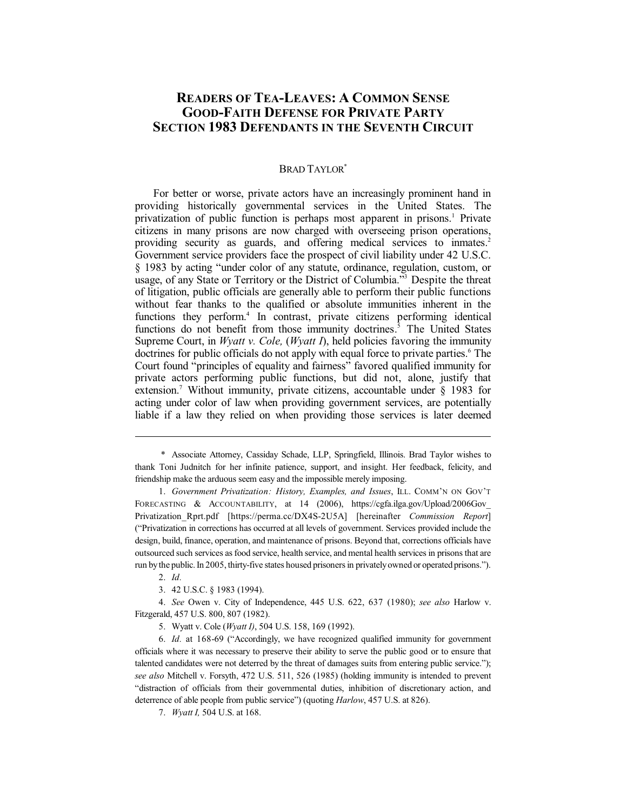# **READERS OF TEA-LEAVES: A COMMON SENSE GOOD-FAITH DEFENSE FOR PRIVATE PARTY SECTION 1983 DEFENDANTS IN THE SEVENTH CIRCUIT**

# BRAD TAYLOR<sup>\*</sup>

For better or worse, private actors have an increasingly prominent hand in providing historically governmental services in the United States. The privatization of public function is perhaps most apparent in prisons.<sup>1</sup> Private citizens in many prisons are now charged with overseeing prison operations, providing security as guards, and offering medical services to inmates.<sup>2</sup> Government service providers face the prospect of civil liability under 42 U.S.C. § 1983 by acting "under color of any statute, ordinance, regulation, custom, or usage, of any State or Territory or the District of Columbia." <sup>3</sup> Despite the threat of litigation, public officials are generally able to perform their public functions without fear thanks to the qualified or absolute immunities inherent in the functions they perform.<sup>4</sup> In contrast, private citizens performing identical functions do not benefit from those immunity doctrines.<sup>5</sup> The United States Supreme Court, in *Wyatt v. Cole,* (*Wyatt I*), held policies favoring the immunity doctrines for public officials do not apply with equal force to private parties.<sup>6</sup> The Court found "principles of equality and fairness" favored qualified immunity for private actors performing public functions, but did not, alone, justify that extension. <sup>7</sup> Without immunity, private citizens, accountable under § 1983 for acting under color of law when providing government services, are potentially liable if a law they relied on when providing those services is later deemed

1. *Government Privatization: History, Examples, and Issues*, ILL. COMM'N ON GOV'T FORECASTING & ACCOUNTABILITY, at 14 (2006), https://cgfa.ilga.gov/Upload/2006Gov\_ Privatization\_Rprt.pdf [https://perma.cc/DX4S-2U5A] [hereinafter *Commission Report*] ("Privatization in corrections has occurred at all levels of government. Services provided include the design, build, finance, operation, and maintenance of prisons. Beyond that, corrections officials have outsourced such services asfood service, health service, and mental health services in prisons that are run bythe public.In 2005, thirty-five states housed prisonersin privatelyowned or operated prisons.").

4. *See* Owen v. City of Independence, 445 U.S. 622, 637 (1980); *see also* Harlow v. Fitzgerald, 457 U.S. 800, 807 (1982).

7. *Wyatt I,* 504 U.S. at 168.

<sup>\*</sup> Associate Attorney, Cassiday Schade, LLP, Springfield, Illinois. Brad Taylor wishes to thank Toni Judnitch for her infinite patience, support, and insight. Her feedback, felicity, and friendship make the arduous seem easy and the impossible merely imposing.

<sup>2.</sup> *Id.*

<sup>3.</sup> 42 U.S.C. § 1983 (1994).

<sup>5.</sup> Wyatt v. Cole (*Wyatt I)*, 504 U.S. 158, 169 (1992).

<sup>6.</sup> *Id.* at 168-69 ("Accordingly, we have recognized qualified immunity for government officials where it was necessary to preserve their ability to serve the public good or to ensure that talented candidates were not deterred by the threat of damages suits from entering public service."); *see also* Mitchell v. Forsyth, 472 U.S. 511, 526 (1985) (holding immunity is intended to prevent "distraction of officials from their governmental duties, inhibition of discretionary action, and deterrence of able people from public service") (quoting *Harlow*, 457 U.S. at 826).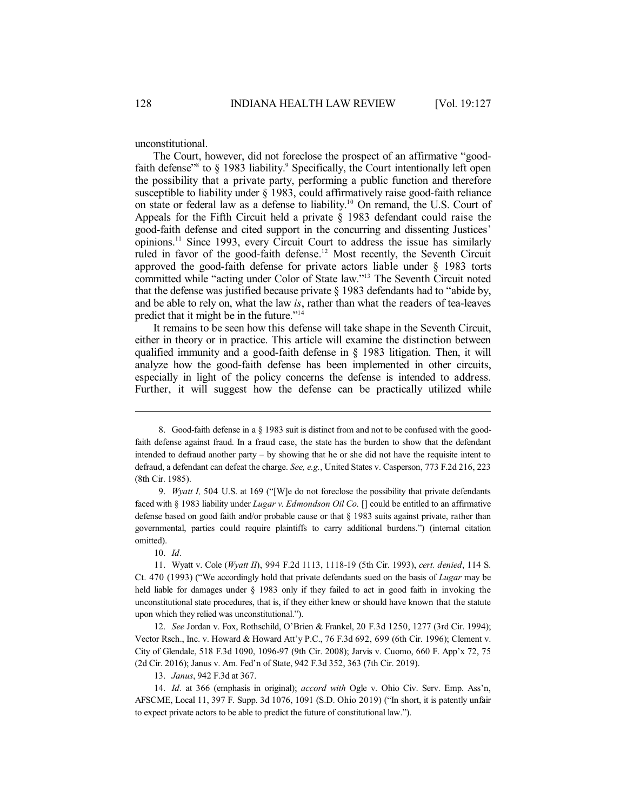unconstitutional.

The Court, however, did not foreclose the prospect of an affirmative "goodfaith defense<sup>38</sup> to § 1983 liability.<sup>9</sup> Specifically, the Court intentionally left open the possibility that a private party, performing a public function and therefore susceptible to liability under § 1983, could affirmatively raise good-faith reliance on state or federal law as a defense to liability. <sup>10</sup> On remand, the U.S. Court of Appeals for the Fifth Circuit held a private § 1983 defendant could raise the good-faith defense and cited support in the concurring and dissenting Justices' opinions.<sup>11</sup> Since 1993, every Circuit Court to address the issue has similarly ruled in favor of the good-faith defense. <sup>12</sup> Most recently, the Seventh Circuit approved the good-faith defense for private actors liable under § 1983 torts committed while "acting under Color of State law." <sup>13</sup> The Seventh Circuit noted that the defense was justified because private § 1983 defendants had to "abide by, and be able to rely on, what the law *is*, rather than what the readers of tea-leaves predict that it might be in the future."<sup>14</sup>

It remains to be seen how this defense will take shape in the Seventh Circuit, either in theory or in practice. This article will examine the distinction between qualified immunity and a good-faith defense in § 1983 litigation. Then, it will analyze how the good-faith defense has been implemented in other circuits, especially in light of the policy concerns the defense is intended to address. Further, it will suggest how the defense can be practically utilized while

13. *Janus*, 942 F.3d at 367.

<sup>8.</sup> Good-faith defense in a § 1983 suit is distinct from and not to be confused with the goodfaith defense against fraud. In a fraud case, the state has the burden to show that the defendant intended to defraud another party – by showing that he or she did not have the requisite intent to defraud, a defendant can defeat the charge. *See, e.g.*, United States v. Casperson, 773 F.2d 216, 223 (8th Cir. 1985).

<sup>9.</sup> *Wyatt I,* 504 U.S. at 169 ("[W]e do not foreclose the possibility that private defendants faced with § 1983 liability under *Lugar v. Edmondson Oil Co.* [] could be entitled to an affirmative defense based on good faith and/or probable cause or that § 1983 suits against private, rather than governmental, parties could require plaintiffs to carry additional burdens.") (internal citation omitted).

<sup>10.</sup> *Id.*

<sup>11.</sup> Wyatt v. Cole (*Wyatt II*), 994 F.2d 1113, 1118-19 (5th Cir. 1993), *cert. denied*, 114 S. Ct. 470 (1993) ("We accordingly hold that private defendants sued on the basis of *Lugar* may be held liable for damages under § 1983 only if they failed to act in good faith in invoking the unconstitutional state procedures, that is, if they either knew or should have known that the statute upon which they relied was unconstitutional.").

<sup>12.</sup> *See* Jordan v. Fox, Rothschild, O'Brien & Frankel, 20 F.3d 1250, 1277 (3rd Cir. 1994); Vector Rsch., Inc. v. Howard & Howard Att'y P.C., 76 F.3d 692, 699 (6th Cir. 1996); Clement v. City of Glendale, 518 F.3d 1090, 1096-97 (9th Cir. 2008); Jarvis v. Cuomo, 660 F. App'x 72, 75 (2d Cir. 2016); Janus v. Am. Fed'n of State, 942 F.3d 352, 363 (7th Cir. 2019).

<sup>14.</sup> *Id.* at 366 (emphasis in original); *accord with* Ogle v. Ohio Civ. Serv. Emp. Ass'n, AFSCME, Local 11, 397 F. Supp. 3d 1076, 1091 (S.D. Ohio 2019) ("In short, it is patently unfair to expect private actors to be able to predict the future of constitutional law.").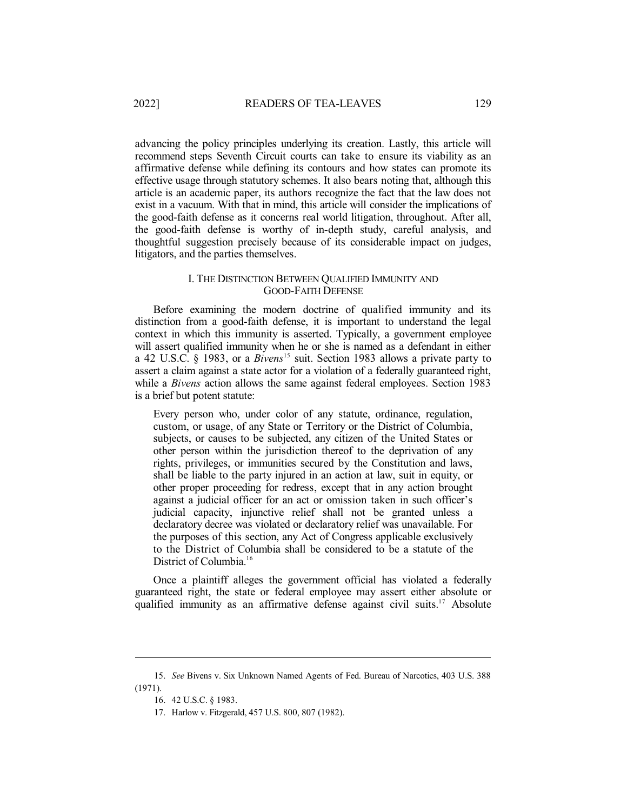advancing the policy principles underlying its creation. Lastly, this article will recommend steps Seventh Circuit courts can take to ensure its viability as an affirmative defense while defining its contours and how states can promote its effective usage through statutory schemes. It also bears noting that, although this article is an academic paper, its authors recognize the fact that the law does not exist in a vacuum. With that in mind, this article will consider the implications of the good-faith defense as it concerns real world litigation, throughout. After all, the good-faith defense is worthy of in-depth study, careful analysis, and thoughtful suggestion precisely because of its considerable impact on judges, litigators, and the parties themselves.

### I. THE DISTINCTION BETWEEN QUALIFIED IMMUNITY AND GOOD-FAITH DEFENSE

Before examining the modern doctrine of qualified immunity and its distinction from a good-faith defense, it is important to understand the legal context in which this immunity is asserted. Typically, a government employee will assert qualified immunity when he or she is named as a defendant in either a 42 U.S.C. § 1983, or a *Bivens*<sup>15</sup> suit. Section 1983 allows a private party to assert a claim against a state actor for a violation of a federally guaranteed right, while a *Bivens* action allows the same against federal employees. Section 1983 is a brief but potent statute:

Every person who, under color of any statute, ordinance, regulation, custom, or usage, of any State or Territory or the District of Columbia, subjects, or causes to be subjected, any citizen of the United States or other person within the jurisdiction thereof to the deprivation of any rights, privileges, or immunities secured by the Constitution and laws, shall be liable to the party injured in an action at law, suit in equity, or other proper proceeding for redress, except that in any action brought against a judicial officer for an act or omission taken in such officer's judicial capacity, injunctive relief shall not be granted unless a declaratory decree was violated or declaratory relief was unavailable. For the purposes of this section, any Act of Congress applicable exclusively to the District of Columbia shall be considered to be a statute of the District of Columbia. 16

Once a plaintiff alleges the government official has violated a federally guaranteed right, the state or federal employee may assert either absolute or qualified immunity as an affirmative defense against civil suits.<sup>17</sup> Absolute

<sup>15.</sup> *See* Bivens v. Six Unknown Named Agents of Fed. Bureau of Narcotics, 403 U.S. 388 (1971).

<sup>16.</sup> 42 U.S.C. § 1983.

<sup>17.</sup> Harlow v. Fitzgerald, 457 U.S. 800, 807 (1982).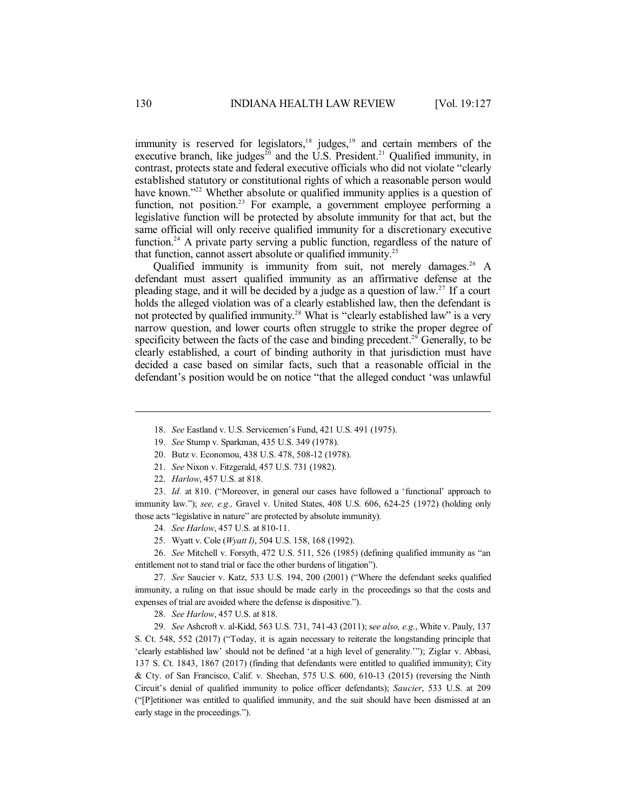immunity is reserved for legislators, $18$  judges, $19$  and certain members of the executive branch, like judges<sup>20</sup> and the U.S. President.<sup>21</sup> Qualified immunity, in contrast, protects state and federal executive officials who did not violate "clearly established statutory or constitutional rights of which a reasonable person would have known."<sup>22</sup> Whether absolute or qualified immunity applies is a question of function, not position.<sup>23</sup> For example, a government employee performing a legislative function will be protected by absolute immunity for that act, but the same official will only receive qualified immunity for a discretionary executive function.<sup>24</sup> A private party serving a public function, regardless of the nature of that function, cannot assert absolute or qualified immunity.<sup>25</sup>

Qualified immunity is immunity from suit, not merely damages.<sup>26</sup> A defendant must assert qualified immunity as an affirmative defense at the pleading stage, and it will be decided by a judge as a question of law. 27 If a court holds the alleged violation was of a clearly established law, then the defendant is not protected by qualified immunity. <sup>28</sup> What is "clearly established law" is a very narrow question, and lower courts often struggle to strike the proper degree of specificity between the facts of the case and binding precedent.<sup>29</sup> Generally, to be clearly established, a court of binding authority in that jurisdiction must have decided a case based on similar facts, such that a reasonable official in the defendant's position would be on notice "that the alleged conduct 'was unlawful

- 18. *See* Eastland v. U.S. Servicemen's Fund, 421 U.S. 491 (1975).
- 19. *See* Stump v. Sparkman, 435 U.S. 349 (1978).
- 20. Butz v. Economou, 438 U.S. 478, 508-12 (1978).
- 21. *See* Nixon v. Fitzgerald, 457 U.S. 731 (1982).
- 22. *Harlow*, 457 U.S. at 818.

23. *Id.* at 810. ("Moreover, in general our cases have followed a 'functional' approach to immunity law."); *see, e.g.,* Gravel v. United States, 408 U.S. 606, 624-25 (1972) (holding only those acts "legislative in nature" are protected by absolute immunity).

- 24. *See Harlow*, 457 U.S. at 810-11.
- 25. Wyatt v. Cole (*Wyatt I)*, 504 U.S. 158, 168 (1992).

26. *See* Mitchell v. Forsyth, 472 U.S. 511, 526 (1985) (defining qualified immunity as "an entitlement not to stand trial or face the other burdens of litigation").

27. *See* Saucier v. Katz, 533 U.S. 194, 200 (2001) ("Where the defendant seeks qualified immunity, a ruling on that issue should be made early in the proceedings so that the costs and expenses of trial are avoided where the defense is dispositive.").

28. *See Harlow*, 457 U.S. at 818.

29. *See* Ashcroft v. al-Kidd, 563 U.S. 731, 741-43 (2011); s*ee also, e.g.*, White v. Pauly, 137 S. Ct. 548, 552 (2017) ("Today, it is again necessary to reiterate the longstanding principle that 'clearly established law' should not be defined 'at a high level of generality.'"); Ziglar v. Abbasi, 137 S. Ct. 1843, 1867 (2017) (finding that defendants were entitled to qualified immunity); City & Cty. of San Francisco, Calif. v. Sheehan, 575 U.S. 600, 610-13 (2015) (reversing the Ninth Circuit's denial of qualified immunity to police officer defendants); *Saucier*, 533 U.S. at 209 ("[P]etitioner was entitled to qualified immunity, and the suit should have been dismissed at an early stage in the proceedings.").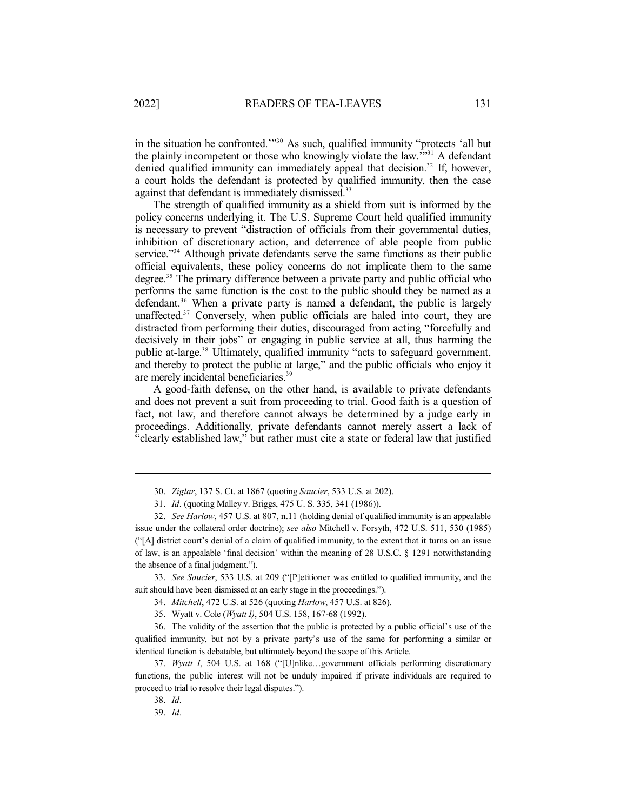in the situation he confronted.'" <sup>30</sup> As such, qualified immunity "protects 'all but the plainly incompetent or those who knowingly violate the law."<sup>31</sup> A defendant denied qualified immunity can immediately appeal that decision. 32 If, however, a court holds the defendant is protected by qualified immunity, then the case against that defendant is immediately dismissed.<sup>33</sup>

The strength of qualified immunity as a shield from suit is informed by the policy concerns underlying it. The U.S. Supreme Court held qualified immunity is necessary to prevent "distraction of officials from their governmental duties, inhibition of discretionary action, and deterrence of able people from public service."<sup>34</sup> Although private defendants serve the same functions as their public official equivalents, these policy concerns do not implicate them to the same degree. <sup>35</sup> The primary difference between a private party and public official who performs the same function is the cost to the public should they be named as a defendant. <sup>36</sup> When a private party is named a defendant, the public is largely unaffected. <sup>37</sup> Conversely, when public officials are haled into court, they are distracted from performing their duties, discouraged from acting "forcefully and decisively in their jobs" or engaging in public service at all, thus harming the public at-large.<sup>38</sup> Ultimately, qualified immunity "acts to safeguard government, and thereby to protect the public at large," and the public officials who enjoy it are merely incidental beneficiaries.<sup>39</sup>

A good-faith defense, on the other hand, is available to private defendants and does not prevent a suit from proceeding to trial. Good faith is a question of fact, not law, and therefore cannot always be determined by a judge early in proceedings. Additionally, private defendants cannot merely assert a lack of "clearly established law," but rather must cite a state or federal law that justified

33. *See Saucier*, 533 U.S. at 209 ("[P]etitioner was entitled to qualified immunity, and the suit should have been dismissed at an early stage in the proceedings.").

34. *Mitchell*, 472 U.S. at 526 (quoting *Harlow*, 457 U.S. at 826).

35. Wyatt v. Cole (*Wyatt I)*, 504 U.S. 158, 167-68 (1992).

36. The validity of the assertion that the public is protected by a public official's use of the qualified immunity, but not by a private party's use of the same for performing a similar or identical function is debatable, but ultimately beyond the scope of this Article.

37. *Wyatt I*, 504 U.S. at 168 ("[U]nlike…government officials performing discretionary functions, the public interest will not be unduly impaired if private individuals are required to proceed to trial to resolve their legal disputes.").

38. *Id.*

39. *Id.*

<sup>30.</sup> *Ziglar*, 137 S. Ct. at 1867 (quoting *Saucier*, 533 U.S. at 202).

<sup>31.</sup> *Id.* (quoting Malley v. Briggs, 475 U. S. 335, 341 (1986)).

<sup>32.</sup> *See Harlow*, 457 U.S. at 807, n.11 (holding denial of qualified immunity is an appealable issue under the collateral order doctrine); *see also* Mitchell v. Forsyth, 472 U.S. 511, 530 (1985) ("[A] district court's denial of a claim of qualified immunity, to the extent that it turns on an issue of law, is an appealable 'final decision' within the meaning of 28 U.S.C. § 1291 notwithstanding the absence of a final judgment.").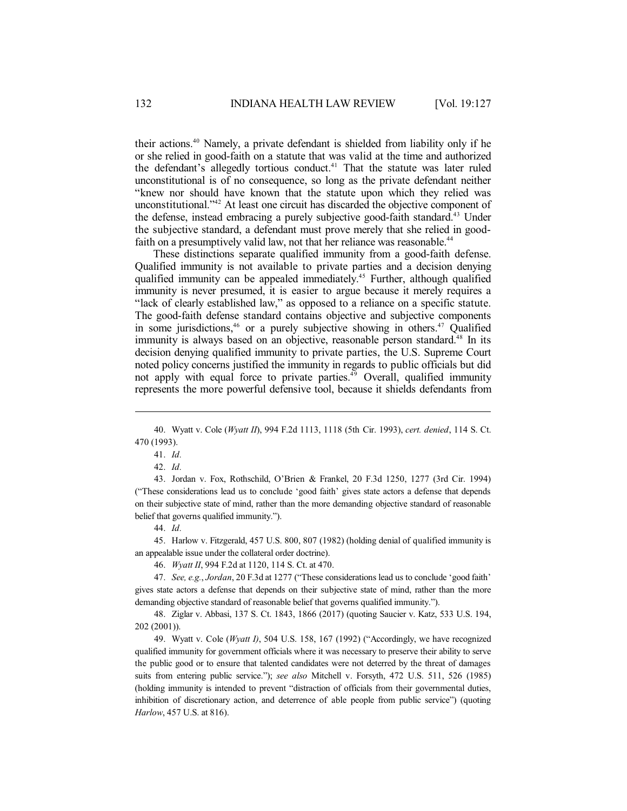their actions.<sup>40</sup> Namely, a private defendant is shielded from liability only if he or she relied in good-faith on a statute that was valid at the time and authorized the defendant's allegedly tortious conduct. <sup>41</sup> That the statute was later ruled unconstitutional is of no consequence, so long as the private defendant neither "knew nor should have known that the statute upon which they relied was unconstitutional." <sup>42</sup> At least one circuit has discarded the objective component of the defense, instead embracing a purely subjective good-faith standard. <sup>43</sup> Under the subjective standard, a defendant must prove merely that she relied in goodfaith on a presumptively valid law, not that her reliance was reasonable.<sup>44</sup>

These distinctions separate qualified immunity from a good-faith defense. Qualified immunity is not available to private parties and a decision denying qualified immunity can be appealed immediately. <sup>45</sup> Further, although qualified immunity is never presumed, it is easier to argue because it merely requires a "lack of clearly established law," as opposed to a reliance on a specific statute. The good-faith defense standard contains objective and subjective components in some jurisdictions, $46$  or a purely subjective showing in others. $47$  Qualified immunity is always based on an objective, reasonable person standard.<sup>48</sup> In its decision denying qualified immunity to private parties, the U.S. Supreme Court noted policy concerns justified the immunity in regards to public officials but did not apply with equal force to private parties.<sup>49</sup> Overall, qualified immunity represents the more powerful defensive tool, because it shields defendants from

43. Jordan v. Fox, Rothschild, O'Brien & Frankel, 20 F.3d 1250, 1277 (3rd Cir. 1994) ("These considerations lead us to conclude 'good faith' gives state actors a defense that depends on their subjective state of mind, rather than the more demanding objective standard of reasonable belief that governs qualified immunity.").

44. *Id.*

45. Harlow v. Fitzgerald, 457 U.S. 800, 807 (1982) (holding denial of qualified immunity is an appealable issue under the collateral order doctrine).

46. *Wyatt II*, 994 F.2d at 1120, 114 S. Ct. at 470.

47. *See, e.g.*, *Jordan*, 20 F.3d at 1277 ("These considerations lead us to conclude 'good faith' gives state actors a defense that depends on their subjective state of mind, rather than the more demanding objective standard of reasonable belief that governs qualified immunity.").

48. Ziglar v. Abbasi, 137 S. Ct. 1843, 1866 (2017) (quoting Saucier v. Katz, 533 U.S. 194, 202 (2001)).

49. Wyatt v. Cole (*Wyatt I)*, 504 U.S. 158, 167 (1992) ("Accordingly, we have recognized qualified immunity for government officials where it was necessary to preserve their ability to serve the public good or to ensure that talented candidates were not deterred by the threat of damages suits from entering public service."); *see also* Mitchell v. Forsyth, 472 U.S. 511, 526 (1985) (holding immunity is intended to prevent "distraction of officials from their governmental duties, inhibition of discretionary action, and deterrence of able people from public service") (quoting *Harlow*, 457 U.S. at 816).

<sup>40.</sup> Wyatt v. Cole (*Wyatt II*), 994 F.2d 1113, 1118 (5th Cir. 1993), *cert. denied*, 114 S. Ct. 470 (1993).

<sup>41.</sup> *Id.*

<sup>42.</sup> *Id.*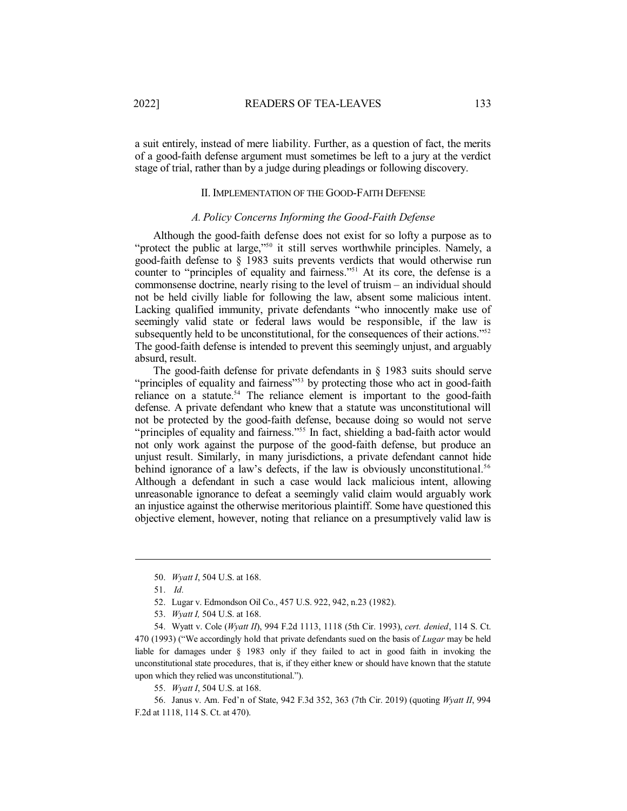a suit entirely, instead of mere liability. Further, as a question of fact, the merits of a good-faith defense argument must sometimes be left to a jury at the verdict stage of trial, rather than by a judge during pleadings or following discovery.

### II. IMPLEMENTATION OF THE GOOD-FAITH DEFENSE

#### *A. Policy Concerns Informing the Good-Faith Defense*

Although the good-faith defense does not exist for so lofty a purpose as to "protect the public at large,"<sup>50</sup> it still serves worthwhile principles. Namely, a good-faith defense to § 1983 suits prevents verdicts that would otherwise run counter to "principles of equality and fairness." <sup>51</sup> At its core, the defense is a commonsense doctrine, nearly rising to the level of truism – an individual should not be held civilly liable for following the law, absent some malicious intent. Lacking qualified immunity, private defendants "who innocently make use of seemingly valid state or federal laws would be responsible, if the law is subsequently held to be unconstitutional, for the consequences of their actions."<sup>52</sup> The good-faith defense is intended to prevent this seemingly unjust, and arguably absurd, result.

The good-faith defense for private defendants in § 1983 suits should serve "principles of equality and fairness"<sup>53</sup> by protecting those who act in good-faith reliance on a statute.<sup>54</sup> The reliance element is important to the good-faith defense. A private defendant who knew that a statute was unconstitutional will not be protected by the good-faith defense, because doing so would not serve "principles of equality and fairness."<sup>55</sup> In fact, shielding a bad-faith actor would not only work against the purpose of the good-faith defense, but produce an unjust result. Similarly, in many jurisdictions, a private defendant cannot hide behind ignorance of a law's defects, if the law is obviously unconstitutional.<sup>56</sup> Although a defendant in such a case would lack malicious intent, allowing unreasonable ignorance to defeat a seemingly valid claim would arguably work an injustice against the otherwise meritorious plaintiff. Some have questioned this objective element, however, noting that reliance on a presumptively valid law is

- 52. Lugar v. Edmondson Oil Co., 457 U.S. 922, 942, n.23 (1982).
- 53. *Wyatt I,* 504 U.S. at 168.

54. Wyatt v. Cole (*Wyatt II*), 994 F.2d 1113, 1118 (5th Cir. 1993), *cert. denied*, 114 S. Ct. 470 (1993) ("We accordingly hold that private defendants sued on the basis of *Lugar* may be held liable for damages under § 1983 only if they failed to act in good faith in invoking the unconstitutional state procedures, that is, if they either knew or should have known that the statute upon which they relied was unconstitutional.").

55. *Wyatt I*, 504 U.S. at 168.

56. Janus v. Am. Fed'n of State, 942 F.3d 352, 363 (7th Cir. 2019) (quoting *Wyatt II*, 994 F.2d at 1118, 114 S. Ct. at 470).

<sup>50.</sup> *Wyatt I*, 504 U.S. at 168.

<sup>51.</sup> *Id.*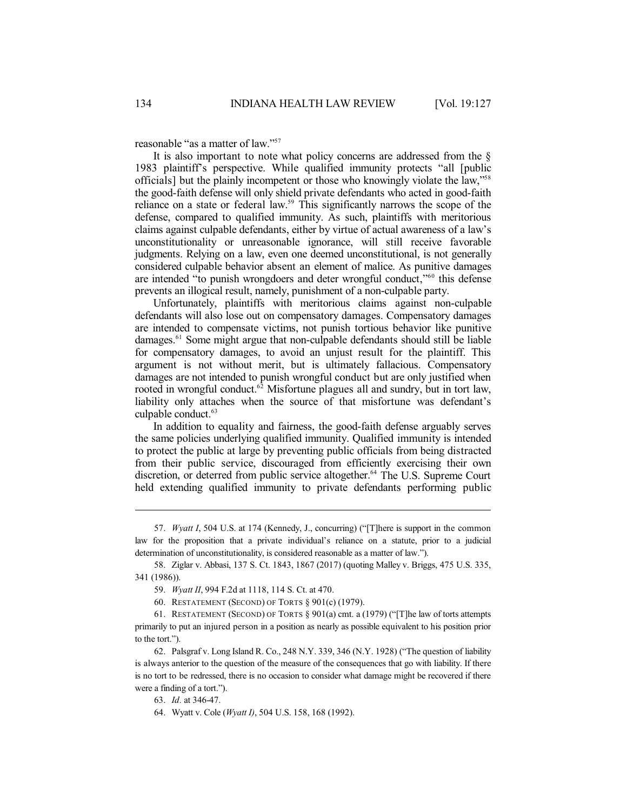reasonable "as a matter of law." 57

It is also important to note what policy concerns are addressed from the § 1983 plaintiff's perspective. While qualified immunity protects "all [public officials] but the plainly incompetent or those who knowingly violate the law," 58 the good-faith defense will only shield private defendants who acted in good-faith reliance on a state or federal law.<sup>59</sup> This significantly narrows the scope of the defense, compared to qualified immunity. As such, plaintiffs with meritorious claims against culpable defendants, either by virtue of actual awareness of a law's unconstitutionality or unreasonable ignorance, will still receive favorable judgments. Relying on a law, even one deemed unconstitutional, is not generally considered culpable behavior absent an element of malice. As punitive damages are intended "to punish wrongdoers and deter wrongful conduct,"<sup>60</sup> this defense prevents an illogical result, namely, punishment of a non-culpable party.

Unfortunately, plaintiffs with meritorious claims against non-culpable defendants will also lose out on compensatory damages. Compensatory damages are intended to compensate victims, not punish tortious behavior like punitive damages.<sup>61</sup> Some might argue that non-culpable defendants should still be liable for compensatory damages, to avoid an unjust result for the plaintiff. This argument is not without merit, but is ultimately fallacious. Compensatory damages are not intended to punish wrongful conduct but are only justified when rooted in wrongful conduct.<sup>62</sup> Misfortune plagues all and sundry, but in tort law, liability only attaches when the source of that misfortune was defendant's culpable conduct. 63

In addition to equality and fairness, the good-faith defense arguably serves the same policies underlying qualified immunity. Qualified immunity is intended to protect the public at large by preventing public officials from being distracted from their public service, discouraged from efficiently exercising their own discretion, or deterred from public service altogether. <sup>64</sup> The U.S. Supreme Court held extending qualified immunity to private defendants performing public

<sup>57.</sup> *Wyatt I*, 504 U.S. at 174 (Kennedy, J., concurring) ("[T]here is support in the common law for the proposition that a private individual's reliance on a statute, prior to a judicial determination of unconstitutionality, is considered reasonable as a matter of law.").

<sup>58.</sup> Ziglar v. Abbasi, 137 S. Ct. 1843, 1867 (2017) (quoting Malley v. Briggs, 475 U.S. 335, 341 (1986)).

<sup>59.</sup> *Wyatt II*, 994 F.2d at 1118, 114 S. Ct. at 470.

<sup>60.</sup> RESTATEMENT (SECOND) OF TORTS § 901(c) (1979).

<sup>61.</sup> RESTATEMENT (SECOND) OF TORTS § 901(a) cmt. a (1979) ("[T]he law of torts attempts primarily to put an injured person in a position as nearly as possible equivalent to his position prior to the tort.").

<sup>62.</sup> Palsgraf v. Long Island R. Co., 248 N.Y. 339, 346 (N.Y. 1928) ("The question of liability is always anterior to the question of the measure of the consequences that go with liability. If there is no tort to be redressed, there is no occasion to consider what damage might be recovered if there were a finding of a tort.").

<sup>63.</sup> *Id.* at 346-47.

<sup>64.</sup> Wyatt v. Cole (*Wyatt I)*, 504 U.S. 158, 168 (1992).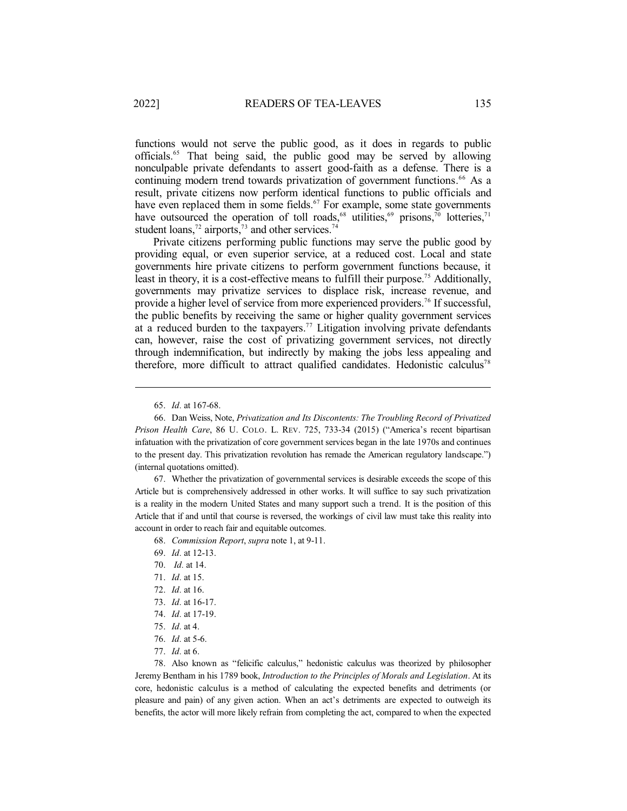functions would not serve the public good, as it does in regards to public officials.<sup>65</sup> That being said, the public good may be served by allowing nonculpable private defendants to assert good-faith as a defense. There is a continuing modern trend towards privatization of government functions. <sup>66</sup> As a result, private citizens now perform identical functions to public officials and have even replaced them in some fields.<sup>67</sup> For example, some state governments have outsourced the operation of toll roads,<sup>68</sup> utilities,<sup>69</sup> prisons,<sup>70</sup> lotteries,<sup>71</sup> student loans,<sup>72</sup> airports,<sup>73</sup> and other services.<sup>74</sup>

Private citizens performing public functions may serve the public good by providing equal, or even superior service, at a reduced cost. Local and state governments hire private citizens to perform government functions because, it least in theory, it is a cost-effective means to fulfill their purpose.<sup>75</sup> Additionally, governments may privatize services to displace risk, increase revenue, and provide a higher level of service from more experienced providers.<sup>76</sup> If successful, the public benefits by receiving the same or higher quality government services at a reduced burden to the taxpayers.<sup>77</sup> Litigation involving private defendants can, however, raise the cost of privatizing government services, not directly through indemnification, but indirectly by making the jobs less appealing and therefore, more difficult to attract qualified candidates. Hedonistic calculus<sup>78</sup>

67. Whether the privatization of governmental services is desirable exceeds the scope of this Article but is comprehensively addressed in other works. It will suffice to say such privatization is a reality in the modern United States and many support such a trend. It is the position of this Article that if and until that course is reversed, the workings of civil law must take this reality into account in order to reach fair and equitable outcomes.

68. *Commission Report*, *supra* note 1, at 9-11.

- 69. *Id.* at 12-13.
- 70. *Id.* at 14.
- 71. *Id.* at 15.
- 72. *Id.* at 16.
- 73. *Id.* at 16-17.
- 74. *Id.* at 17-19.
- 75. *Id.* at 4.
- 76. *Id.* at 5-6.
- 77. *Id.* at 6.

78. Also known as "felicific calculus," hedonistic calculus was theorized by philosopher Jeremy Bentham in his 1789 book, *Introduction to the Principles of Morals and Legislation*. At its core, hedonistic calculus is a method of calculating the expected benefits and detriments (or pleasure and pain) of any given action. When an act's detriments are expected to outweigh its benefits, the actor will more likely refrain from completing the act, compared to when the expected

<sup>65.</sup> *Id.* at 167-68.

<sup>66.</sup> Dan Weiss, Note, *Privatization and Its Discontents: The Troubling Record of Privatized Prison Health Care*, 86 U. COLO. L. REV. 725, 733-34 (2015) ("America's recent bipartisan infatuation with the privatization of core government services began in the late 1970s and continues to the present day. This privatization revolution has remade the American regulatory landscape.") (internal quotations omitted).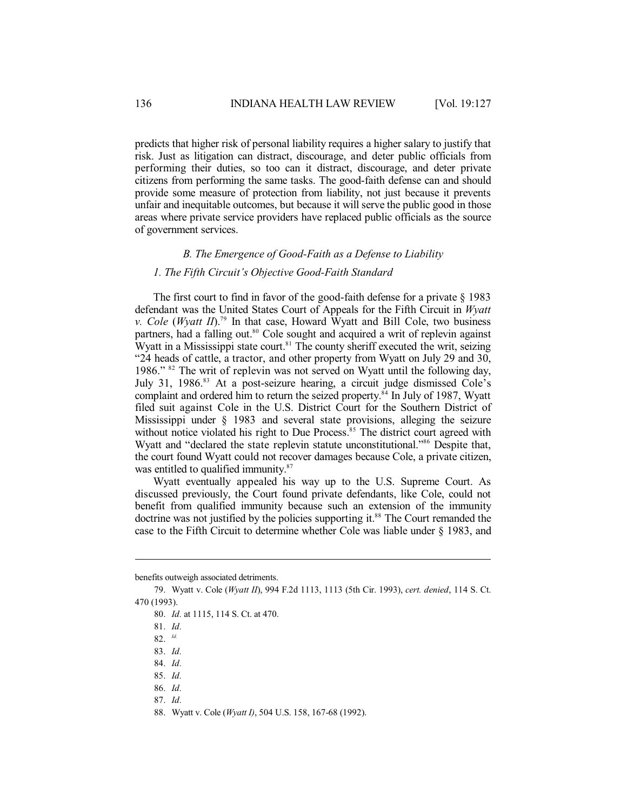predicts that higher risk of personal liability requires a higher salary to justify that risk. Just as litigation can distract, discourage, and deter public officials from performing their duties, so too can it distract, discourage, and deter private citizens from performing the same tasks. The good-faith defense can and should provide some measure of protection from liability, not just because it prevents unfair and inequitable outcomes, but because it will serve the public good in those areas where private service providers have replaced public officials as the source of government services.

### *B. The Emergence of Good-Faith as a Defense to Liability*

#### *1. The Fifth Circuit's Objective Good-Faith Standard*

The first court to find in favor of the good-faith defense for a private  $\S$  1983 defendant was the United States Court of Appeals for the Fifth Circuit in *Wyatt v. Cole* (*Wyatt II*). 79 In that case, Howard Wyatt and Bill Cole, two business partners, had a falling out.<sup>80</sup> Cole sought and acquired a writ of replevin against Wyatt in a Mississippi state court.<sup>81</sup> The county sheriff executed the writ, seizing "24 heads of cattle, a tractor, and other property from Wyatt on July 29 and 30, 1986." <sup>82</sup> The writ of replevin was not served on Wyatt until the following day, July 31, 1986.<sup>83</sup> At a post-seizure hearing, a circuit judge dismissed Cole's complaint and ordered him to return the seized property.<sup>84</sup> In July of 1987, Wyatt filed suit against Cole in the U.S. District Court for the Southern District of Mississippi under § 1983 and several state provisions, alleging the seizure without notice violated his right to Due Process.<sup>85</sup> The district court agreed with Wyatt and "declared the state replevin statute unconstitutional." <sup>86</sup> Despite that, the court found Wyatt could not recover damages because Cole, a private citizen, was entitled to qualified immunity.<sup>87</sup>

Wyatt eventually appealed his way up to the U.S. Supreme Court. As discussed previously, the Court found private defendants, like Cole, could not benefit from qualified immunity because such an extension of the immunity doctrine was not justified by the policies supporting it.<sup>88</sup> The Court remanded the case to the Fifth Circuit to determine whether Cole was liable under § 1983, and

benefits outweigh associated detriments.

<sup>79.</sup> Wyatt v. Cole (*Wyatt II*), 994 F.2d 1113, 1113 (5th Cir. 1993), *cert. denied*, 114 S. Ct. 470 (1993).

<sup>80.</sup> *Id.* at 1115, 114 S. Ct. at 470.

<sup>81.</sup> *Id.*

<sup>82.</sup> *Id.*

<sup>83.</sup> *Id.*

<sup>84.</sup> *Id.*

<sup>85.</sup> *Id.*

<sup>86.</sup> *Id.*

<sup>87.</sup> *Id.*

<sup>88.</sup> Wyatt v. Cole (*Wyatt I)*, 504 U.S. 158, 167-68 (1992).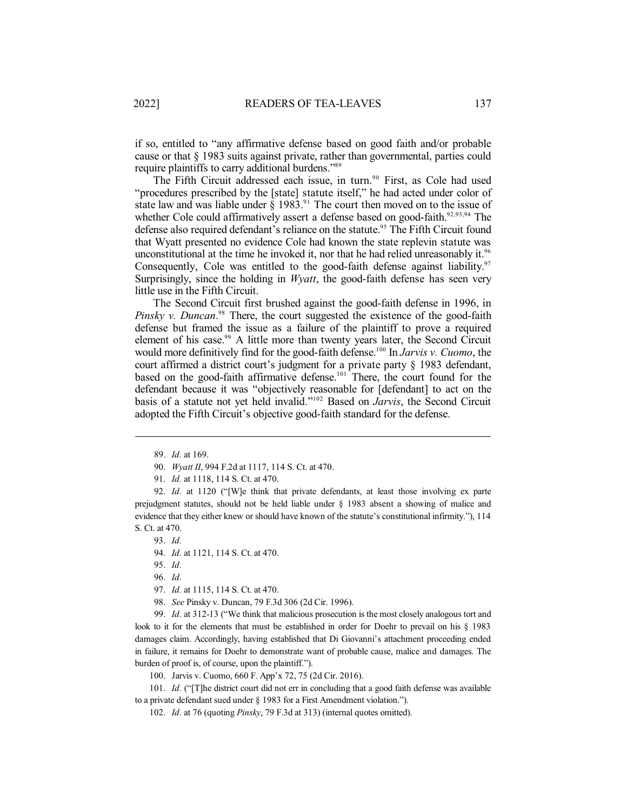if so, entitled to "any affirmative defense based on good faith and/or probable cause or that § 1983 suits against private, rather than governmental, parties could require plaintiffs to carry additional burdens."<sup>89</sup>

The Fifth Circuit addressed each issue, in turn.<sup>90</sup> First, as Cole had used "procedures prescribed by the [state] statute itself," he had acted under color of state law and was liable under  $\hat{\S}$  1983.<sup>91</sup> The court then moved on to the issue of whether Cole could affirmatively assert a defense based on good-faith.<sup>92,93,94</sup> The defense also required defendant's reliance on the statute. <sup>95</sup> The Fifth Circuit found that Wyatt presented no evidence Cole had known the state replevin statute was unconstitutional at the time he invoked it, nor that he had relied unreasonably it. 96 Consequently, Cole was entitled to the good-faith defense against liability.<sup>97</sup> Surprisingly, since the holding in *Wyatt*, the good-faith defense has seen very little use in the Fifth Circuit.

The Second Circuit first brushed against the good-faith defense in 1996, in *Pinsky v. Duncan*. <sup>98</sup> There, the court suggested the existence of the good-faith defense but framed the issue as a failure of the plaintiff to prove a required element of his case. <sup>99</sup> A little more than twenty years later, the Second Circuit would more definitively find for the good-faith defense. 100 In *Jarvis v. Cuomo*, the court affirmed a district court's judgment for a private party § 1983 defendant, based on the good-faith affirmative defense. <sup>101</sup> There, the court found for the defendant because it was "objectively reasonable for [defendant] to act on the basis of a statute not yet held invalid." <sup>102</sup> Based on *Jarvis*, the Second Circuit adopted the Fifth Circuit's objective good-faith standard for the defense.

92. *Id.* at 1120 ("[W]e think that private defendants, at least those involving ex parte prejudgment statutes, should not be held liable under § 1983 absent a showing of malice and evidence that they either knew or should have known of the statute's constitutional infirmity."), 114 S. Ct. at 470.

93. *Id.*

- 94. *Id.* at 1121, 114 S. Ct. at 470.
- 95. *Id.*
- 96. *Id.*
- 97. *Id.* at 1115, 114 S. Ct. at 470.
- 98. *See* Pinsky v. Duncan, 79 F.3d 306 (2d Cir. 1996).

99. *Id.* at 312-13 ("We think that malicious prosecution is the most closely analogous tort and look to it for the elements that must be established in order for Doehr to prevail on his § 1983 damages claim. Accordingly, having established that Di Giovanni's attachment proceeding ended in failure, it remains for Doehr to demonstrate want of probable cause, malice and damages. The burden of proof is, of course, upon the plaintiff.").

100. Jarvis v. Cuomo, 660 F. App'x 72, 75 (2d Cir. 2016).

101. *Id.* ("[T]he district court did not err in concluding that a good faith defense was available to a private defendant sued under § 1983 for a First Amendment violation.").

102. *Id.* at 76 (quoting *Pinsky*, 79 F.3d at 313) (internal quotes omitted).

<sup>89.</sup> *Id.* at 169.

<sup>90.</sup> *Wyatt II*, 994 F.2d at 1117, 114 S. Ct. at 470.

<sup>91.</sup> *Id.* at 1118, 114 S. Ct. at 470.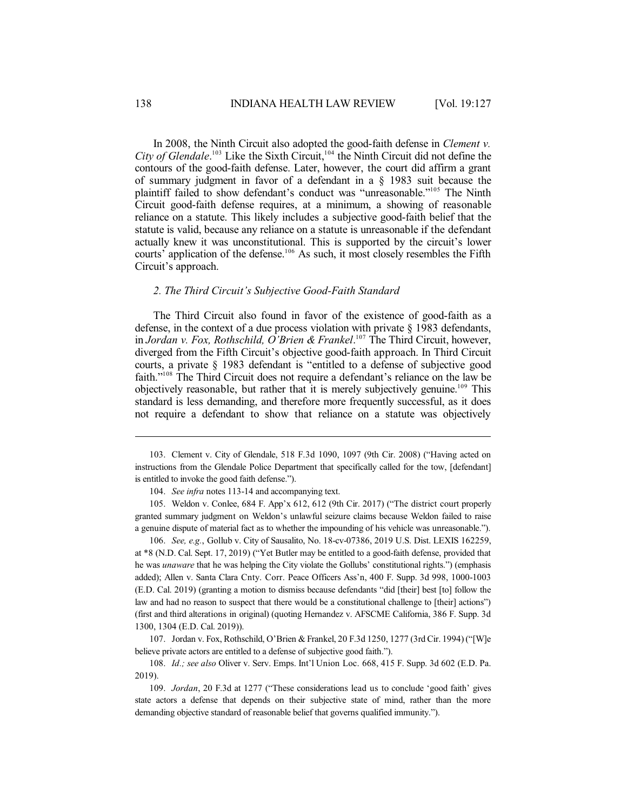In 2008, the Ninth Circuit also adopted the good-faith defense in *Clement v. City of Glendale*. <sup>103</sup> Like the Sixth Circuit, 104 the Ninth Circuit did not define the contours of the good-faith defense. Later, however, the court did affirm a grant of summary judgment in favor of a defendant in a § 1983 suit because the plaintiff failed to show defendant's conduct was "unreasonable."<sup>105</sup> The Ninth Circuit good-faith defense requires, at a minimum, a showing of reasonable reliance on a statute. This likely includes a subjective good-faith belief that the statute is valid, because any reliance on a statute is unreasonable if the defendant actually knew it was unconstitutional. This is supported by the circuit's lower courts' application of the defense. <sup>106</sup> As such, it most closely resembles the Fifth Circuit's approach.

#### *2. The Third Circuit's Subjective Good-Faith Standard*

The Third Circuit also found in favor of the existence of good-faith as a defense, in the context of a due process violation with private § 1983 defendants, in *Jordan v. Fox, Rothschild, O'Brien & Frankel*. <sup>107</sup> The Third Circuit, however, diverged from the Fifth Circuit's objective good-faith approach. In Third Circuit courts, a private § 1983 defendant is "entitled to a defense of subjective good faith." <sup>108</sup> The Third Circuit does not require a defendant's reliance on the law be objectively reasonable, but rather that it is merely subjectively genuine. <sup>109</sup> This standard is less demanding, and therefore more frequently successful, as it does not require a defendant to show that reliance on a statute was objectively

105. Weldon v. Conlee, 684 F. App'x 612, 612 (9th Cir. 2017) ("The district court properly granted summary judgment on Weldon's unlawful seizure claims because Weldon failed to raise a genuine dispute of material fact as to whether the impounding of his vehicle was unreasonable.").

106. *See, e.g.*, Gollub v. City of Sausalito, No. 18-cv-07386, 2019 U.S. Dist. LEXIS 162259, at \*8 (N.D. Cal. Sept. 17, 2019) ("Yet Butler may be entitled to a good-faith defense, provided that he was *unaware* that he was helping the City violate the Gollubs' constitutional rights.") (emphasis added); Allen v. Santa Clara Cnty. Corr. Peace Officers Ass'n, 400 F. Supp. 3d 998, 1000-1003 (E.D. Cal. 2019) (granting a motion to dismiss because defendants "did [their] best [to] follow the law and had no reason to suspect that there would be a constitutional challenge to [their] actions") (first and third alterations in original) (quoting Hernandez v. AFSCME California, 386 F. Supp. 3d 1300, 1304 (E.D. Cal. 2019)).

107. Jordan v. Fox, Rothschild, O'Brien & Frankel, 20 F.3d 1250, 1277 (3rdCir. 1994) ("[W]e believe private actors are entitled to a defense of subjective good faith.").

108. *Id.; see also* Oliver v. Serv. Emps. Int'l Union Loc. 668, 415 F. Supp. 3d 602 (E.D. Pa. 2019).

109. *Jordan*, 20 F.3d at 1277 ("These considerations lead us to conclude 'good faith' gives state actors a defense that depends on their subjective state of mind, rather than the more demanding objective standard of reasonable belief that governs qualified immunity.").

<sup>103.</sup> Clement v. City of Glendale, 518 F.3d 1090, 1097 (9th Cir. 2008) ("Having acted on instructions from the Glendale Police Department that specifically called for the tow, [defendant] is entitled to invoke the good faith defense.").

<sup>104.</sup> *See infra* notes 113-14 and accompanying text.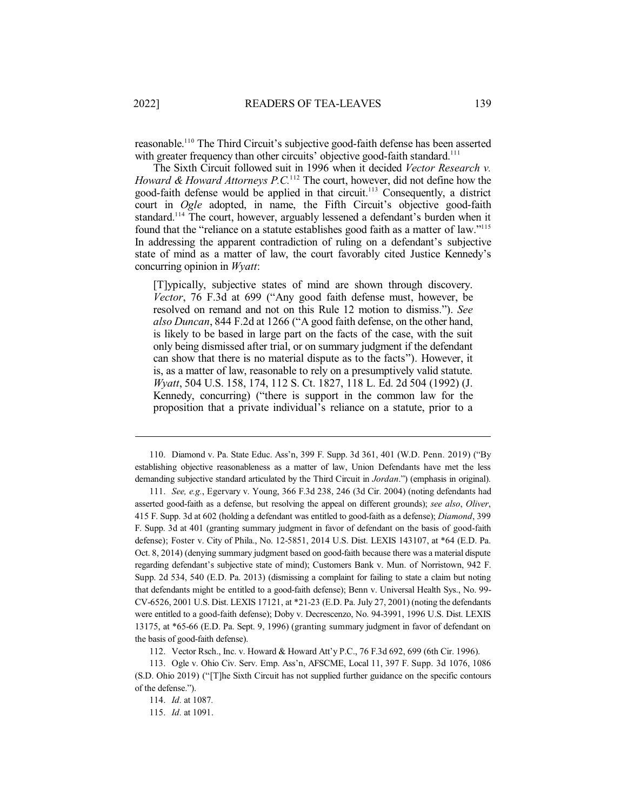reasonable. <sup>110</sup> The Third Circuit's subjective good-faith defense has been asserted with greater frequency than other circuits' objective good-faith standard.<sup>111</sup>

The Sixth Circuit followed suit in 1996 when it decided *Vector Research v. Howard & Howard Attorneys P.C.* <sup>112</sup> The court, however, did not define how the good-faith defense would be applied in that circuit.<sup>113</sup> Consequently, a district court in *Ogle* adopted, in name, the Fifth Circuit's objective good-faith standard. <sup>114</sup> The court, however, arguably lessened a defendant's burden when it found that the "reliance on a statute establishes good faith as a matter of law." 115 In addressing the apparent contradiction of ruling on a defendant's subjective state of mind as a matter of law, the court favorably cited Justice Kennedy's concurring opinion in *Wyatt*:

[T]ypically, subjective states of mind are shown through discovery. *Vector*, 76 F.3d at 699 ("Any good faith defense must, however, be resolved on remand and not on this Rule 12 motion to dismiss."). *See also Duncan*, 844 F.2d at 1266 ("A good faith defense, on the other hand, is likely to be based in large part on the facts of the case, with the suit only being dismissed after trial, or on summary judgment if the defendant can show that there is no material dispute as to the facts"). However, it is, as a matter of law, reasonable to rely on a presumptively valid statute. *Wyatt*, 504 U.S. 158, 174, 112 S. Ct. 1827, 118 L. Ed. 2d 504 (1992) (J. Kennedy, concurring) ("there is support in the common law for the proposition that a private individual's reliance on a statute, prior to a

112. Vector Rsch., Inc. v. Howard & Howard Att'y P.C., 76 F.3d 692, 699 (6th Cir. 1996).

113. Ogle v. Ohio Civ. Serv. Emp. Ass'n, AFSCME, Local 11, 397 F. Supp. 3d 1076, 1086 (S.D. Ohio 2019) ("[T]he Sixth Circuit has not supplied further guidance on the specific contours of the defense.").

115. *Id.* at 1091.

<sup>110.</sup> Diamond v. Pa. State Educ. Ass'n, 399 F. Supp. 3d 361, 401 (W.D. Penn. 2019) ("By establishing objective reasonableness as a matter of law, Union Defendants have met the less demanding subjective standard articulated by the Third Circuit in *Jordan*.") (emphasis in original).

<sup>111.</sup> *See, e.g.*, Egervary v. Young, 366 F.3d 238, 246 (3d Cir. 2004) (noting defendants had asserted good-faith as a defense, but resolving the appeal on different grounds); *see also*, *Oliver*, 415 F. Supp. 3d at 602 (holding a defendant was entitled to good-faith as a defense); *Diamond*, 399 F. Supp. 3d at 401 (granting summary judgment in favor of defendant on the basis of good-faith defense); Foster v. City of Phila., No. 12-5851, 2014 U.S. Dist. LEXIS 143107, at \*64 (E.D. Pa. Oct. 8, 2014) (denying summary judgment based on good-faith because there was a material dispute regarding defendant's subjective state of mind); Customers Bank v. Mun. of Norristown, 942 F. Supp. 2d 534, 540 (E.D. Pa. 2013) (dismissing a complaint for failing to state a claim but noting that defendants might be entitled to a good-faith defense); Benn v. Universal Health Sys., No. 99- CV-6526, 2001 U.S. Dist. LEXIS 17121, at \*21-23 (E.D. Pa. July 27, 2001) (noting the defendants were entitled to a good-faith defense); Doby v. Decrescenzo, No. 94-3991, 1996 U.S. Dist. LEXIS 13175, at \*65-66 (E.D. Pa. Sept. 9, 1996) (granting summary judgment in favor of defendant on the basis of good-faith defense).

<sup>114.</sup> *Id.* at 1087*.*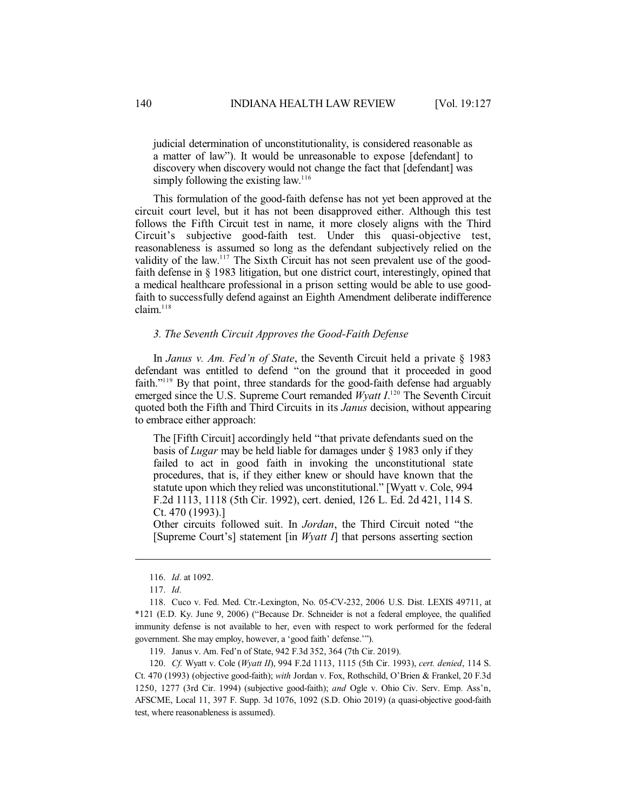judicial determination of unconstitutionality, is considered reasonable as a matter of law"). It would be unreasonable to expose [defendant] to discovery when discovery would not change the fact that [defendant] was simply following the existing law.<sup>116</sup>

This formulation of the good-faith defense has not yet been approved at the circuit court level, but it has not been disapproved either. Although this test follows the Fifth Circuit test in name, it more closely aligns with the Third Circuit's subjective good-faith test. Under this quasi-objective test, reasonableness is assumed so long as the defendant subjectively relied on the validity of the law.<sup>117</sup> The Sixth Circuit has not seen prevalent use of the goodfaith defense in § 1983 litigation, but one district court, interestingly, opined that a medical healthcare professional in a prison setting would be able to use goodfaith to successfully defend against an Eighth Amendment deliberate indifference claim. 118

#### *3. The Seventh Circuit Approves the Good-Faith Defense*

In *Janus v. Am. Fed'n of State*, the Seventh Circuit held a private § 1983 defendant was entitled to defend "on the ground that it proceeded in good faith."<sup>119</sup> By that point, three standards for the good-faith defense had arguably emerged since the U.S. Supreme Court remanded *Wyatt I*.<sup>120</sup> The Seventh Circuit quoted both the Fifth and Third Circuits in its *Janus* decision, without appearing to embrace either approach:

The [Fifth Circuit] accordingly held "that private defendants sued on the basis of *Lugar* may be held liable for damages under § 1983 only if they failed to act in good faith in invoking the unconstitutional state procedures, that is, if they either knew or should have known that the statute upon which they relied was unconstitutional." [Wyatt v. Cole, 994 F.2d 1113, 1118 (5th Cir. 1992), cert. denied, 126 L. Ed. 2d 421, 114 S. Ct. 470 (1993).]

Other circuits followed suit. In *Jordan*, the Third Circuit noted "the [Supreme Court's] statement [in *Wyatt I*] that persons asserting section

119. Janus v. Am. Fed'n of State, 942 F.3d 352, 364 (7th Cir. 2019).

120. *Cf.* Wyatt v. Cole (*Wyatt II*), 994 F.2d 1113, 1115 (5th Cir. 1993), *cert. denied*, 114 S. Ct. 470 (1993) (objective good-faith); *with* Jordan v. Fox, Rothschild, O'Brien & Frankel, 20 F.3d 1250, 1277 (3rd Cir. 1994) (subjective good-faith); *and* Ogle v. Ohio Civ. Serv. Emp. Ass'n, AFSCME, Local 11, 397 F. Supp. 3d 1076, 1092 (S.D. Ohio 2019) (a quasi-objective good-faith test, where reasonableness is assumed).

<sup>116.</sup> *Id.* at 1092.

<sup>117.</sup> *Id.*

<sup>118.</sup> Cuco v. Fed. Med. Ctr.-Lexington, No. 05-CV-232, 2006 U.S. Dist. LEXIS 49711, at \*121 (E.D. Ky. June 9, 2006) ("Because Dr. Schneider is not a federal employee, the qualified immunity defense is not available to her, even with respect to work performed for the federal government. She may employ, however, a 'good faith' defense.'").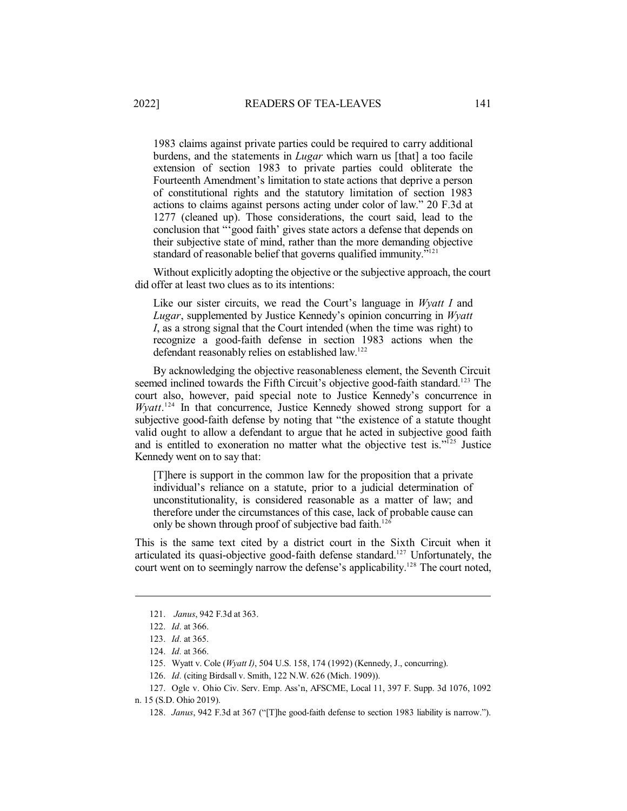1983 claims against private parties could be required to carry additional burdens, and the statements in *Lugar* which warn us [that] a too facile extension of section 1983 to private parties could obliterate the Fourteenth Amendment's limitation to state actions that deprive a person of constitutional rights and the statutory limitation of section 1983 actions to claims against persons acting under color of law." 20 F.3d at 1277 (cleaned up). Those considerations, the court said, lead to the conclusion that "'good faith' gives state actors a defense that depends on their subjective state of mind, rather than the more demanding objective standard of reasonable belief that governs qualified immunity."<sup>121</sup>

Without explicitly adopting the objective or the subjective approach, the court did offer at least two clues as to its intentions:

Like our sister circuits, we read the Court's language in *Wyatt I* and *Lugar*, supplemented by Justice Kennedy's opinion concurring in *Wyatt I*, as a strong signal that the Court intended (when the time was right) to recognize a good-faith defense in section 1983 actions when the defendant reasonably relies on established law.<sup>122</sup>

By acknowledging the objective reasonableness element, the Seventh Circuit seemed inclined towards the Fifth Circuit's objective good-faith standard.<sup>123</sup> The court also, however, paid special note to Justice Kennedy's concurrence in Wyatt.<sup>124</sup> In that concurrence, Justice Kennedy showed strong support for a subjective good-faith defense by noting that "the existence of a statute thought valid ought to allow a defendant to argue that he acted in subjective good faith and is entitled to exoneration no matter what the objective test is."<sup>125</sup> Justice Kennedy went on to say that:

[T]here is support in the common law for the proposition that a private individual's reliance on a statute, prior to a judicial determination of unconstitutionality, is considered reasonable as a matter of law; and therefore under the circumstances of this case, lack of probable cause can only be shown through proof of subjective bad faith. 126

This is the same text cited by a district court in the Sixth Circuit when it articulated its quasi-objective good-faith defense standard. <sup>127</sup> Unfortunately, the court went on to seemingly narrow the defense's applicability. <sup>128</sup> The court noted,

<sup>121.</sup> *Janus*, 942 F.3d at 363.

<sup>122.</sup> *Id.* at 366.

<sup>123.</sup> *Id.* at 365.

<sup>124.</sup> *Id.* at 366.

<sup>125.</sup> Wyatt v. Cole (*Wyatt I)*, 504 U.S. 158, 174 (1992) (Kennedy, J., concurring).

<sup>126.</sup> *Id.* (citing Birdsall v. Smith, 122 N.W. 626 (Mich. 1909)).

<sup>127.</sup> Ogle v. Ohio Civ. Serv. Emp. Ass'n, AFSCME, Local 11, 397 F. Supp. 3d 1076, 1092 n. 15 (S.D. Ohio 2019).

<sup>128.</sup> *Janus*, 942 F.3d at 367 ("[T]he good-faith defense to section 1983 liability is narrow.").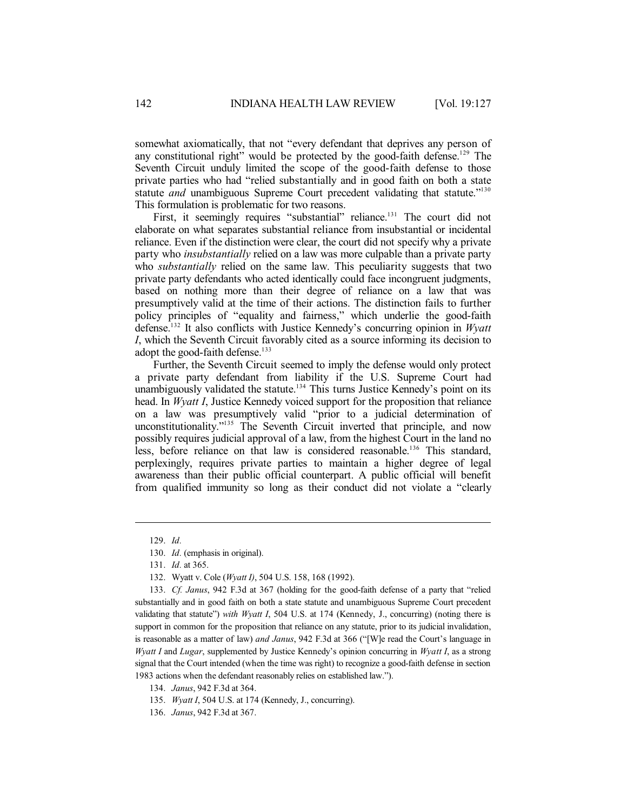somewhat axiomatically, that not "every defendant that deprives any person of any constitutional right" would be protected by the good-faith defense.<sup>129</sup> The Seventh Circuit unduly limited the scope of the good-faith defense to those private parties who had "relied substantially and in good faith on both a state statute and unambiguous Supreme Court precedent validating that statute."<sup>130</sup> This formulation is problematic for two reasons.

First, it seemingly requires "substantial" reliance.<sup>131</sup> The court did not elaborate on what separates substantial reliance from insubstantial or incidental reliance. Even if the distinction were clear, the court did not specify why a private party who *insubstantially* relied on a law was more culpable than a private party who *substantially* relied on the same law. This peculiarity suggests that two private party defendants who acted identically could face incongruent judgments, based on nothing more than their degree of reliance on a law that was presumptively valid at the time of their actions. The distinction fails to further policy principles of "equality and fairness," which underlie the good-faith defense. 132 It also conflicts with Justice Kennedy's concurring opinion in *Wyatt I*, which the Seventh Circuit favorably cited as a source informing its decision to adopt the good-faith defense. 133

Further, the Seventh Circuit seemed to imply the defense would only protect a private party defendant from liability if the U.S. Supreme Court had unambiguously validated the statute.<sup>134</sup> This turns Justice Kennedy's point on its head. In *Wyatt I*, Justice Kennedy voiced support for the proposition that reliance on a law was presumptively valid "prior to a judicial determination of unconstitutionality." <sup>135</sup> The Seventh Circuit inverted that principle, and now possibly requires judicial approval of a law, from the highest Court in the land no less, before reliance on that law is considered reasonable. <sup>136</sup> This standard, perplexingly, requires private parties to maintain a higher degree of legal awareness than their public official counterpart. A public official will benefit from qualified immunity so long as their conduct did not violate a "clearly

<sup>129.</sup> *Id.*

<sup>130.</sup> *Id.* (emphasis in original).

<sup>131.</sup> *Id.* at 365.

<sup>132.</sup> Wyatt v. Cole (*Wyatt I)*, 504 U.S. 158, 168 (1992).

<sup>133.</sup> *Cf. Janus*, 942 F.3d at 367 (holding for the good-faith defense of a party that "relied substantially and in good faith on both a state statute and unambiguous Supreme Court precedent validating that statute") *with Wyatt I*, 504 U.S. at 174 (Kennedy, J., concurring) (noting there is support in common for the proposition that reliance on any statute, prior to its judicial invalidation, is reasonable as a matter of law) *and Janus*, 942 F.3d at 366 ("[W]e read the Court's language in *Wyatt I* and *Lugar*, supplemented by Justice Kennedy's opinion concurring in *Wyatt I*, as a strong signal that the Court intended (when the time was right) to recognize a good-faith defense in section 1983 actions when the defendant reasonably relies on established law.").

<sup>134.</sup> *Janus*, 942 F.3d at 364.

<sup>135.</sup> *Wyatt I*, 504 U.S. at 174 (Kennedy, J., concurring).

<sup>136.</sup> *Janus*, 942 F.3d at 367.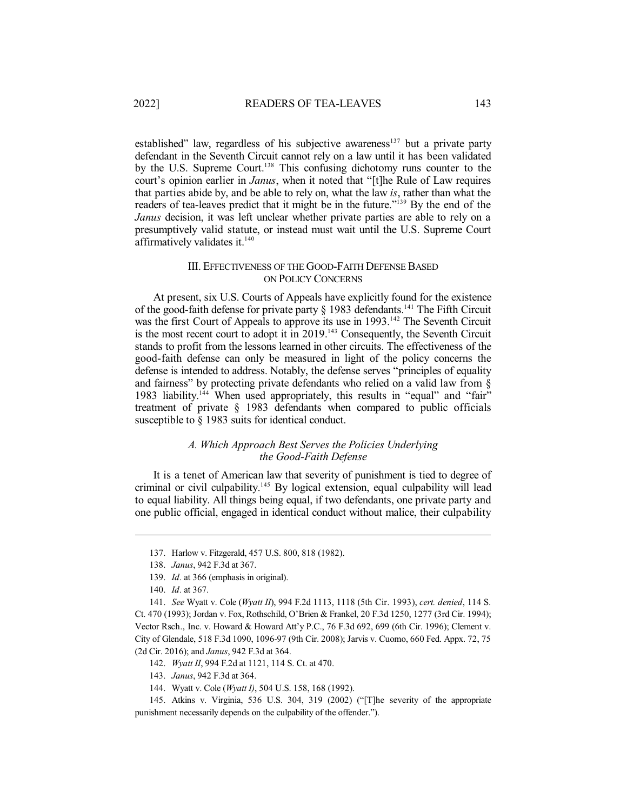established" law, regardless of his subjective awareness<sup>137</sup> but a private party defendant in the Seventh Circuit cannot rely on a law until it has been validated by the U.S. Supreme Court.<sup>138</sup> This confusing dichotomy runs counter to the court's opinion earlier in *Janus*, when it noted that "[t]he Rule of Law requires that parties abide by, and be able to rely on, what the law *is*, rather than what the readers of tea-leaves predict that it might be in the future."<sup>139</sup> By the end of the *Janus* decision, it was left unclear whether private parties are able to rely on a presumptively valid statute, or instead must wait until the U.S. Supreme Court affirmatively validates it. 140

### III. EFFECTIVENESS OF THE GOOD-FAITH DEFENSE BASED ON POLICY CONCERNS

At present, six U.S. Courts of Appeals have explicitly found for the existence of the good-faith defense for private party  $\S$  1983 defendants.<sup>141</sup> The Fifth Circuit was the first Court of Appeals to approve its use in 1993.<sup>142</sup> The Seventh Circuit is the most recent court to adopt it in 2019.<sup>143</sup> Consequently, the Seventh Circuit stands to profit from the lessons learned in other circuits. The effectiveness of the good-faith defense can only be measured in light of the policy concerns the defense is intended to address. Notably, the defense serves "principles of equality and fairness" by protecting private defendants who relied on a valid law from § 1983 liability.<sup>144</sup> When used appropriately, this results in "equal" and "fair" treatment of private § 1983 defendants when compared to public officials susceptible to § 1983 suits for identical conduct.

# *A. Which Approach Best Serves the Policies Underlying the Good-Faith Defense*

It is a tenet of American law that severity of punishment is tied to degree of criminal or civil culpability. <sup>145</sup> By logical extension, equal culpability will lead to equal liability. All things being equal, if two defendants, one private party and one public official, engaged in identical conduct without malice, their culpability

144. Wyatt v. Cole (*Wyatt I)*, 504 U.S. 158, 168 (1992).

<sup>137.</sup> Harlow v. Fitzgerald, 457 U.S. 800, 818 (1982).

<sup>138.</sup> *Janus*, 942 F.3d at 367.

<sup>139.</sup> *Id.* at 366 (emphasis in original).

<sup>140.</sup> *Id.* at 367.

<sup>141.</sup> *See* Wyatt v. Cole (*Wyatt II*), 994 F.2d 1113, 1118 (5th Cir. 1993), *cert. denied*, 114 S. Ct. 470 (1993); Jordan v. Fox, Rothschild, O'Brien & Frankel, 20 F.3d 1250, 1277 (3rd Cir. 1994); Vector Rsch., Inc. v. Howard & Howard Att'y P.C., 76 F.3d 692, 699 (6th Cir. 1996); Clement v. City of Glendale, 518 F.3d 1090, 1096-97 (9th Cir. 2008); Jarvis v. Cuomo, 660 Fed. Appx. 72, 75 (2d Cir. 2016); and *Janus*, 942 F.3d at 364.

<sup>142.</sup> *Wyatt II*, 994 F.2d at 1121, 114 S. Ct. at 470.

<sup>143.</sup> *Janus*, 942 F.3d at 364.

<sup>145.</sup> Atkins v. Virginia, 536 U.S. 304, 319 (2002) ("[T]he severity of the appropriate punishment necessarily depends on the culpability of the offender.").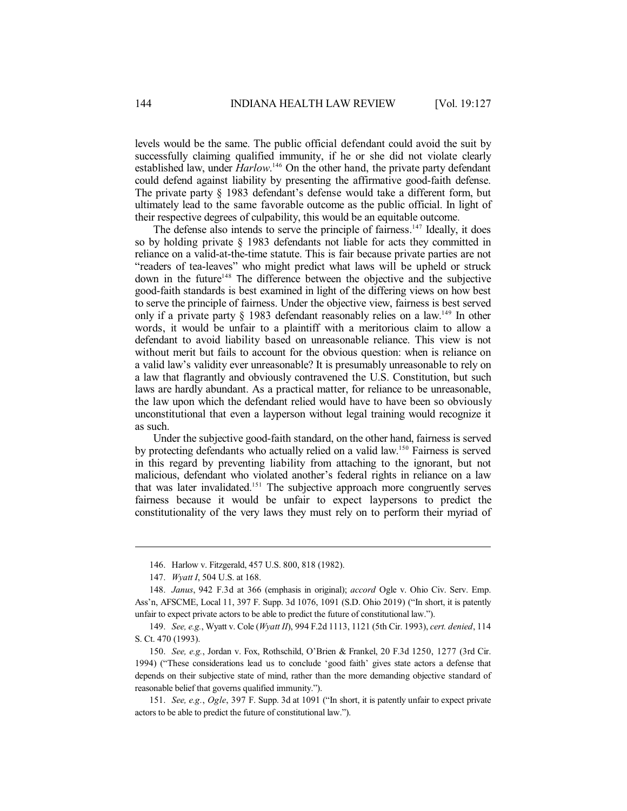levels would be the same. The public official defendant could avoid the suit by successfully claiming qualified immunity, if he or she did not violate clearly established law, under *Harlow*.<sup>146</sup> On the other hand, the private party defendant could defend against liability by presenting the affirmative good-faith defense. The private party § 1983 defendant's defense would take a different form, but ultimately lead to the same favorable outcome as the public official. In light of their respective degrees of culpability, this would be an equitable outcome.

The defense also intends to serve the principle of fairness.<sup>147</sup> Ideally, it does so by holding private § 1983 defendants not liable for acts they committed in reliance on a valid-at-the-time statute. This is fair because private parties are not "readers of tea-leaves" who might predict what laws will be upheld or struck down in the future<sup>148</sup> The difference between the objective and the subjective good-faith standards is best examined in light of the differing views on how best to serve the principle of fairness. Under the objective view, fairness is best served only if a private party  $\S$  1983 defendant reasonably relies on a law.<sup>149</sup> In other words, it would be unfair to a plaintiff with a meritorious claim to allow a defendant to avoid liability based on unreasonable reliance. This view is not without merit but fails to account for the obvious question: when is reliance on a valid law's validity ever unreasonable? It is presumably unreasonable to rely on a law that flagrantly and obviously contravened the U.S. Constitution, but such laws are hardly abundant. As a practical matter, for reliance to be unreasonable, the law upon which the defendant relied would have to have been so obviously unconstitutional that even a layperson without legal training would recognize it as such.

Under the subjective good-faith standard, on the other hand, fairness is served by protecting defendants who actually relied on a valid law. <sup>150</sup> Fairness is served in this regard by preventing liability from attaching to the ignorant, but not malicious, defendant who violated another's federal rights in reliance on a law that was later invalidated. <sup>151</sup> The subjective approach more congruently serves fairness because it would be unfair to expect laypersons to predict the constitutionality of the very laws they must rely on to perform their myriad of

<sup>146.</sup> Harlow v. Fitzgerald, 457 U.S. 800, 818 (1982).

<sup>147.</sup> *Wyatt I*, 504 U.S. at 168.

<sup>148.</sup> *Janus*, 942 F.3d at 366 (emphasis in original); *accord* Ogle v. Ohio Civ. Serv. Emp. Ass'n, AFSCME, Local 11, 397 F. Supp. 3d 1076, 1091 (S.D. Ohio 2019) ("In short, it is patently unfair to expect private actors to be able to predict the future of constitutional law.").

<sup>149.</sup> *See, e.g.*, Wyatt v. Cole (*Wyatt II*), 994 F.2d 1113, 1121 (5th Cir. 1993), *cert. denied*, 114 S. Ct. 470 (1993).

<sup>150.</sup> *See, e.g.*, Jordan v. Fox, Rothschild, O'Brien & Frankel, 20 F.3d 1250, 1277 (3rd Cir. 1994) ("These considerations lead us to conclude 'good faith' gives state actors a defense that depends on their subjective state of mind, rather than the more demanding objective standard of reasonable belief that governs qualified immunity.").

<sup>151.</sup> *See, e.g.*, *Ogle*, 397 F. Supp. 3d at 1091 ("In short, it is patently unfair to expect private actors to be able to predict the future of constitutional law.").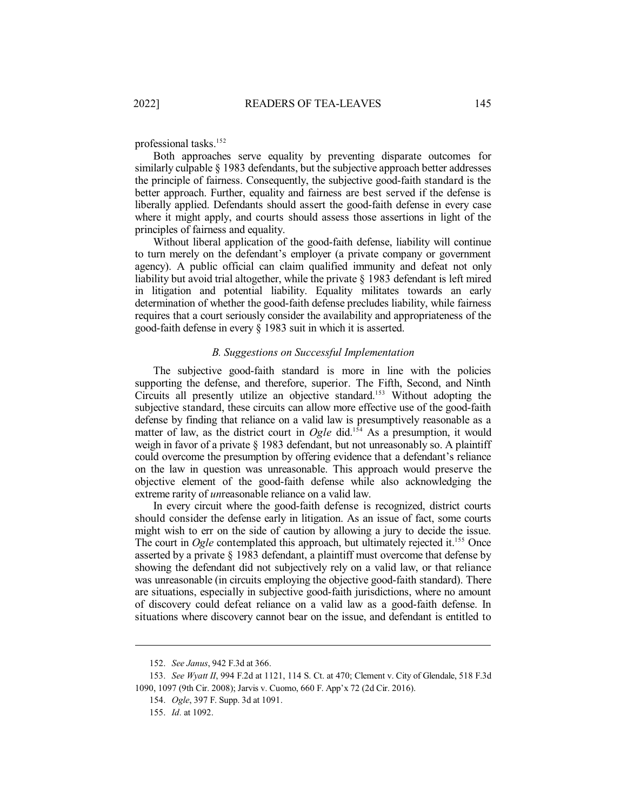professional tasks.<sup>152</sup>

Both approaches serve equality by preventing disparate outcomes for similarly culpable § 1983 defendants, but the subjective approach better addresses the principle of fairness. Consequently, the subjective good-faith standard is the better approach. Further, equality and fairness are best served if the defense is liberally applied. Defendants should assert the good-faith defense in every case where it might apply, and courts should assess those assertions in light of the principles of fairness and equality.

Without liberal application of the good-faith defense, liability will continue to turn merely on the defendant's employer (a private company or government agency). A public official can claim qualified immunity and defeat not only liability but avoid trial altogether, while the private § 1983 defendant is left mired in litigation and potential liability. Equality militates towards an early determination of whether the good-faith defense precludes liability, while fairness requires that a court seriously consider the availability and appropriateness of the good-faith defense in every § 1983 suit in which it is asserted.

# *B. Suggestions on Successful Implementation*

The subjective good-faith standard is more in line with the policies supporting the defense, and therefore, superior. The Fifth, Second, and Ninth Circuits all presently utilize an objective standard. <sup>153</sup> Without adopting the subjective standard, these circuits can allow more effective use of the good-faith defense by finding that reliance on a valid law is presumptively reasonable as a matter of law, as the district court in *Ogle* did.<sup>154</sup> As a presumption, it would weigh in favor of a private § 1983 defendant, but not unreasonably so. A plaintiff could overcome the presumption by offering evidence that a defendant's reliance on the law in question was unreasonable. This approach would preserve the objective element of the good-faith defense while also acknowledging the extreme rarity of *un*reasonable reliance on a valid law.

In every circuit where the good-faith defense is recognized, district courts should consider the defense early in litigation. As an issue of fact, some courts might wish to err on the side of caution by allowing a jury to decide the issue. The court in *Ogle* contemplated this approach, but ultimately rejected it.<sup>155</sup> Once asserted by a private § 1983 defendant, a plaintiff must overcome that defense by showing the defendant did not subjectively rely on a valid law, or that reliance was unreasonable (in circuits employing the objective good-faith standard). There are situations, especially in subjective good-faith jurisdictions, where no amount of discovery could defeat reliance on a valid law as a good-faith defense. In situations where discovery cannot bear on the issue, and defendant is entitled to

<sup>152.</sup> *See Janus*, 942 F.3d at 366.

<sup>153.</sup> *See Wyatt II*, 994 F.2d at 1121, 114 S. Ct. at 470; Clement v. City of Glendale, 518 F.3d 1090, 1097 (9th Cir. 2008); Jarvis v. Cuomo, 660 F. App'x 72 (2d Cir. 2016).

<sup>154.</sup> *Ogle*, 397 F. Supp. 3d at 1091.

<sup>155.</sup> *Id.* at 1092.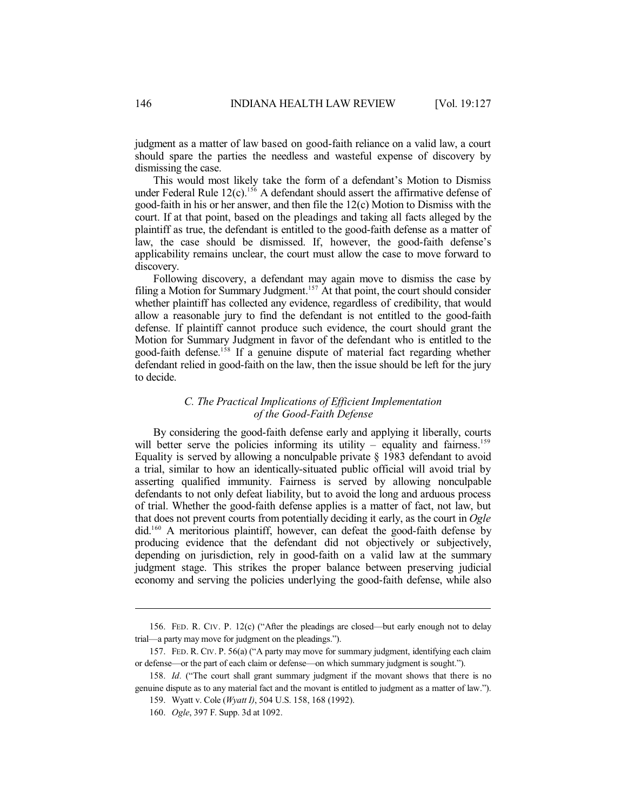judgment as a matter of law based on good-faith reliance on a valid law, a court should spare the parties the needless and wasteful expense of discovery by dismissing the case.

This would most likely take the form of a defendant's Motion to Dismiss under Federal Rule 12(c). <sup>156</sup> A defendant should assert the affirmative defense of good-faith in his or her answer, and then file the 12(c) Motion to Dismiss with the court. If at that point, based on the pleadings and taking all facts alleged by the plaintiff as true, the defendant is entitled to the good-faith defense as a matter of law, the case should be dismissed. If, however, the good-faith defense's applicability remains unclear, the court must allow the case to move forward to discovery.

Following discovery, a defendant may again move to dismiss the case by filing a Motion for Summary Judgment.<sup>157</sup> At that point, the court should consider whether plaintiff has collected any evidence, regardless of credibility, that would allow a reasonable jury to find the defendant is not entitled to the good-faith defense. If plaintiff cannot produce such evidence, the court should grant the Motion for Summary Judgment in favor of the defendant who is entitled to the good-faith defense. 158 If a genuine dispute of material fact regarding whether defendant relied in good-faith on the law, then the issue should be left for the jury to decide.

#### *C. The Practical Implications of Efficient Implementation of the Good-Faith Defense*

By considering the good-faith defense early and applying it liberally, courts will better serve the policies informing its utility – equality and fairness.<sup>159</sup> Equality is served by allowing a nonculpable private § 1983 defendant to avoid a trial, similar to how an identically-situated public official will avoid trial by asserting qualified immunity. Fairness is served by allowing nonculpable defendants to not only defeat liability, but to avoid the long and arduous process of trial. Whether the good-faith defense applies is a matter of fact, not law, but that does not prevent courts from potentially deciding it early, as the court in *Ogle* did. <sup>160</sup> A meritorious plaintiff, however, can defeat the good-faith defense by producing evidence that the defendant did not objectively or subjectively, depending on jurisdiction, rely in good-faith on a valid law at the summary judgment stage. This strikes the proper balance between preserving judicial economy and serving the policies underlying the good-faith defense, while also

<sup>156.</sup> FED. R. CIV. P. 12(c) ("After the pleadings are closed—but early enough not to delay trial—a party may move for judgment on the pleadings.").

<sup>157.</sup> FED. R. CIV. P. 56(a) ("A party may move for summary judgment, identifying each claim or defense—or the part of each claim or defense—on which summary judgment is sought.").

<sup>158.</sup> *Id.* ("The court shall grant summary judgment if the movant shows that there is no genuine dispute as to any material fact and the movant is entitled to judgment as a matter of law.").

<sup>159.</sup> Wyatt v. Cole (*Wyatt I)*, 504 U.S. 158, 168 (1992).

<sup>160.</sup> *Ogle*, 397 F. Supp. 3d at 1092.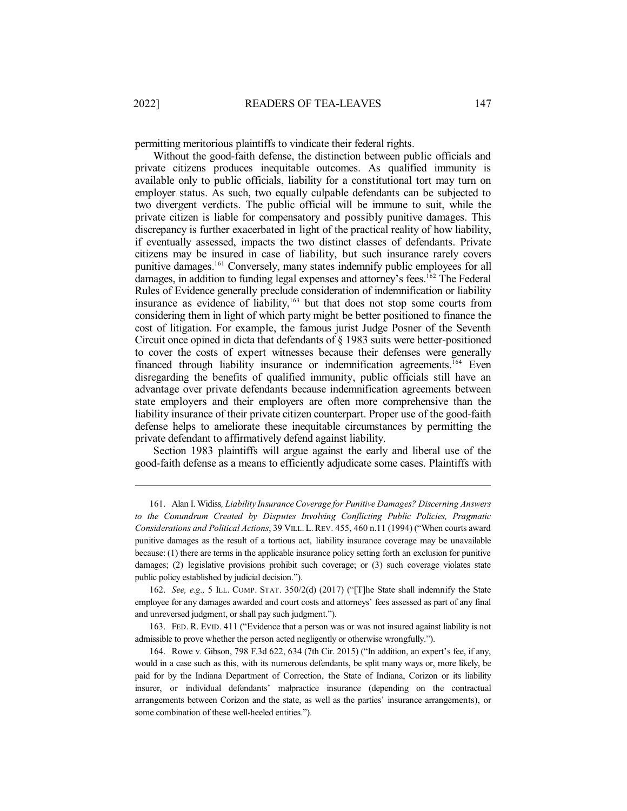permitting meritorious plaintiffs to vindicate their federal rights.

Without the good-faith defense, the distinction between public officials and private citizens produces inequitable outcomes. As qualified immunity is available only to public officials, liability for a constitutional tort may turn on employer status. As such, two equally culpable defendants can be subjected to two divergent verdicts. The public official will be immune to suit, while the private citizen is liable for compensatory and possibly punitive damages. This discrepancy is further exacerbated in light of the practical reality of how liability, if eventually assessed, impacts the two distinct classes of defendants. Private citizens may be insured in case of liability, but such insurance rarely covers punitive damages.<sup>161</sup> Conversely, many states indemnify public employees for all damages, in addition to funding legal expenses and attorney's fees.<sup>162</sup> The Federal Rules of Evidence generally preclude consideration of indemnification or liability insurance as evidence of liability, 163 but that does not stop some courts from considering them in light of which party might be better positioned to finance the cost of litigation. For example, the famous jurist Judge Posner of the Seventh Circuit once opined in dicta that defendants of § 1983 suits were better-positioned to cover the costs of expert witnesses because their defenses were generally financed through liability insurance or indemnification agreements.<sup>164</sup> Even disregarding the benefits of qualified immunity, public officials still have an advantage over private defendants because indemnification agreements between state employers and their employers are often more comprehensive than the liability insurance of their private citizen counterpart. Proper use of the good-faith defense helps to ameliorate these inequitable circumstances by permitting the private defendant to affirmatively defend against liability.

Section 1983 plaintiffs will argue against the early and liberal use of the good-faith defense as a means to efficiently adjudicate some cases. Plaintiffs with

162. *See, e.g.,* 5 ILL. COMP. STAT. 350/2(d) (2017) ("[T]he State shall indemnify the State employee for any damages awarded and court costs and attorneys' fees assessed as part of any final and unreversed judgment, or shall pay such judgment.").

163. FED. R. EVID. 411 ("Evidence that a person was or was not insured against liability is not admissible to prove whether the person acted negligently or otherwise wrongfully.").

164. Rowe v. Gibson, 798 F.3d 622, 634 (7th Cir. 2015) ("In addition, an expert's fee, if any, would in a case such as this, with its numerous defendants, be split many ways or, more likely, be paid for by the Indiana Department of Correction, the State of Indiana, Corizon or its liability insurer, or individual defendants' malpractice insurance (depending on the contractual arrangements between Corizon and the state, as well as the parties' insurance arrangements), or some combination of these well-heeled entities.").

<sup>161.</sup> Alan I. Widiss*, Liability Insurance Coverage for Punitive Damages? Discerning Answers to the Conundrum Created by Disputes Involving Conflicting Public Policies, Pragmatic Considerations and Political Actions*, 39 VILL. L.REV. 455, 460 n.11 (1994) ("When courts award punitive damages as the result of a tortious act, liability insurance coverage may be unavailable because: (1) there are terms in the applicable insurance policy setting forth an exclusion for punitive damages; (2) legislative provisions prohibit such coverage; or (3) such coverage violates state public policy established by judicial decision.").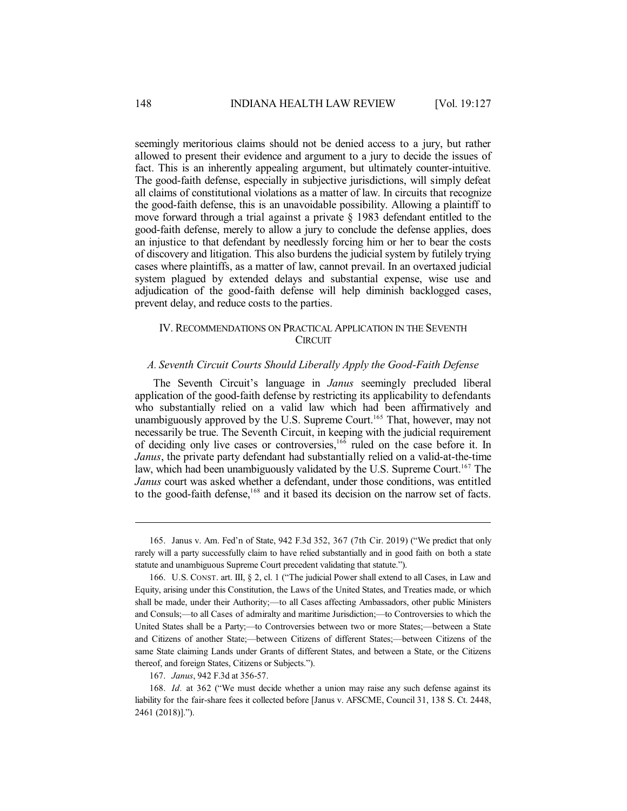seemingly meritorious claims should not be denied access to a jury, but rather allowed to present their evidence and argument to a jury to decide the issues of fact. This is an inherently appealing argument, but ultimately counter-intuitive. The good-faith defense, especially in subjective jurisdictions, will simply defeat all claims of constitutional violations as a matter of law. In circuits that recognize the good-faith defense, this is an unavoidable possibility. Allowing a plaintiff to move forward through a trial against a private § 1983 defendant entitled to the good-faith defense, merely to allow a jury to conclude the defense applies, does an injustice to that defendant by needlessly forcing him or her to bear the costs of discovery and litigation. This also burdens the judicial system by futilely trying cases where plaintiffs, as a matter of law, cannot prevail. In an overtaxed judicial system plagued by extended delays and substantial expense, wise use and adjudication of the good-faith defense will help diminish backlogged cases, prevent delay, and reduce costs to the parties.

# IV. RECOMMENDATIONS ON PRACTICAL APPLICATION IN THE SEVENTH **CIRCUIT**

#### *A. Seventh Circuit Courts Should Liberally Apply the Good-Faith Defense*

The Seventh Circuit's language in *Janus* seemingly precluded liberal application of the good-faith defense by restricting its applicability to defendants who substantially relied on a valid law which had been affirmatively and unambiguously approved by the U.S. Supreme Court.<sup>165</sup> That, however, may not necessarily be true. The Seventh Circuit, in keeping with the judicial requirement of deciding only live cases or controversies,<sup>166</sup> ruled on the case before it. In *Janus*, the private party defendant had substantially relied on a valid-at-the-time law, which had been unambiguously validated by the U.S. Supreme Court.<sup>167</sup> The *Janus* court was asked whether a defendant, under those conditions, was entitled to the good-faith defense,<sup>168</sup> and it based its decision on the narrow set of facts.

167. *Janus*, 942 F.3d at 356-57.

<sup>165.</sup> Janus v. Am. Fed'n of State, 942 F.3d 352, 367 (7th Cir. 2019) ("We predict that only rarely will a party successfully claim to have relied substantially and in good faith on both a state statute and unambiguous Supreme Court precedent validating that statute.").

<sup>166.</sup> U.S. CONST. art. III, § 2, cl. 1 ("The judicial Power shall extend to all Cases, in Law and Equity, arising under this Constitution, the Laws of the United States, and Treaties made, or which shall be made, under their Authority;—to all Cases affecting Ambassadors, other public Ministers and Consuls;—to all Cases of admiralty and maritime Jurisdiction;—to Controversies to which the United States shall be a Party;—to Controversies between two or more States;—between a State and Citizens of another State;—between Citizens of different States;—between Citizens of the same State claiming Lands under Grants of different States, and between a State, or the Citizens thereof, and foreign States, Citizens or Subjects.").

<sup>168.</sup> *Id.* at 362 ("We must decide whether a union may raise any such defense against its liability for the fair-share fees it collected before [Janus v. AFSCME, Council 31, 138 S. Ct. 2448, 2461 (2018)].").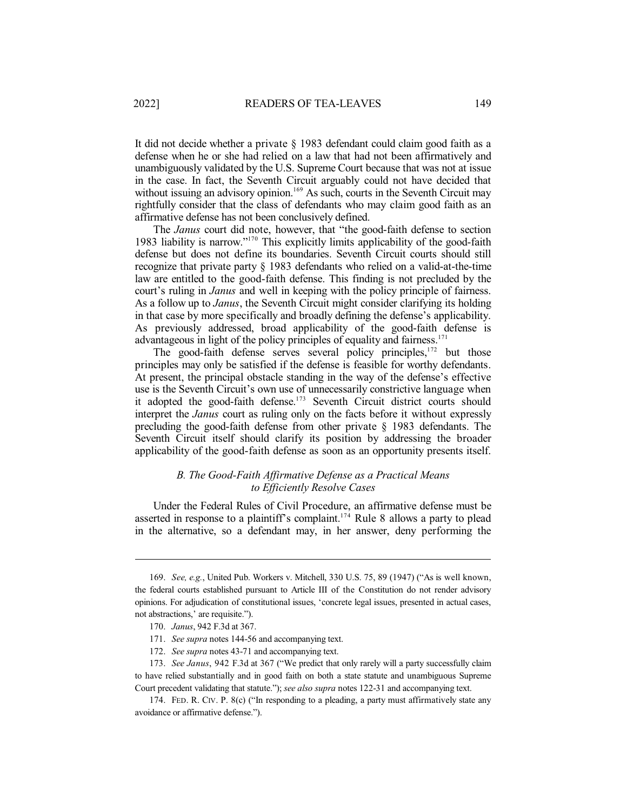It did not decide whether a private § 1983 defendant could claim good faith as a defense when he or she had relied on a law that had not been affirmatively and unambiguously validated by the U.S. Supreme Court because that was not at issue in the case. In fact, the Seventh Circuit arguably could not have decided that without issuing an advisory opinion.<sup>169</sup> As such, courts in the Seventh Circuit may rightfully consider that the class of defendants who may claim good faith as an affirmative defense has not been conclusively defined.

The *Janus* court did note, however, that "the good-faith defense to section 1983 liability is narrow." <sup>170</sup> This explicitly limits applicability of the good-faith defense but does not define its boundaries. Seventh Circuit courts should still recognize that private party § 1983 defendants who relied on a valid-at-the-time law are entitled to the good-faith defense. This finding is not precluded by the court's ruling in *Janus* and well in keeping with the policy principle of fairness. As a follow up to *Janus*, the Seventh Circuit might consider clarifying its holding in that case by more specifically and broadly defining the defense's applicability. As previously addressed, broad applicability of the good-faith defense is advantageous in light of the policy principles of equality and fairness.<sup>171</sup>

The good-faith defense serves several policy principles,<sup>172</sup> but those principles may only be satisfied if the defense is feasible for worthy defendants. At present, the principal obstacle standing in the way of the defense's effective use is the Seventh Circuit's own use of unnecessarily constrictive language when it adopted the good-faith defense. <sup>173</sup> Seventh Circuit district courts should interpret the *Janus* court as ruling only on the facts before it without expressly precluding the good-faith defense from other private § 1983 defendants. The Seventh Circuit itself should clarify its position by addressing the broader applicability of the good-faith defense as soon as an opportunity presents itself.

# *B. The Good-Faith Affirmative Defense as a Practical Means to Efficiently Resolve Cases*

Under the Federal Rules of Civil Procedure, an affirmative defense must be asserted in response to a plaintiff's complaint. <sup>174</sup> Rule 8 allows a party to plead in the alternative, so a defendant may, in her answer, deny performing the

<sup>169.</sup> *See, e.g.*, United Pub. Workers v. Mitchell, 330 U.S. 75, 89 (1947) ("As is well known, the federal courts established pursuant to Article III of the Constitution do not render advisory opinions. For adjudication of constitutional issues, 'concrete legal issues, presented in actual cases, not abstractions,' are requisite.").

<sup>170.</sup> *Janus*, 942 F.3d at 367.

<sup>171.</sup> *See supra* notes 144-56 and accompanying text.

<sup>172.</sup> *See supra* notes 43-71 and accompanying text.

<sup>173.</sup> *See Janus*, 942 F.3d at 367 ("We predict that only rarely will a party successfully claim to have relied substantially and in good faith on both a state statute and unambiguous Supreme Court precedent validating that statute."); *see also supra* notes 122-31 and accompanying text.

<sup>174.</sup> FED. R. CIV. P. 8(c) ("In responding to a pleading, a party must affirmatively state any avoidance or affirmative defense.").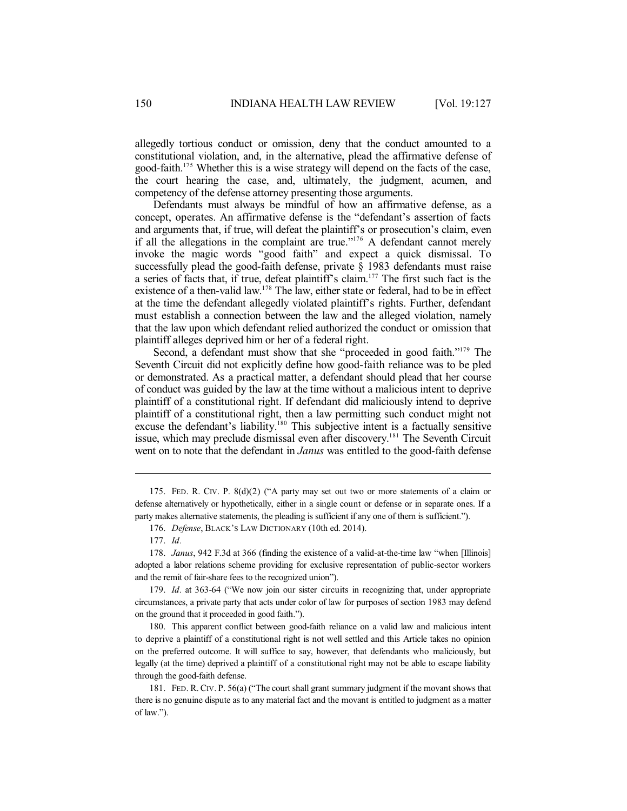allegedly tortious conduct or omission, deny that the conduct amounted to a constitutional violation, and, in the alternative, plead the affirmative defense of good-faith. <sup>175</sup> Whether this is a wise strategy will depend on the facts of the case, the court hearing the case, and, ultimately, the judgment, acumen, and competency of the defense attorney presenting those arguments.

Defendants must always be mindful of how an affirmative defense, as a concept, operates. An affirmative defense is the "defendant's assertion of facts and arguments that, if true, will defeat the plaintiff's or prosecution's claim, even if all the allegations in the complaint are true." <sup>176</sup> A defendant cannot merely invoke the magic words "good faith" and expect a quick dismissal. To successfully plead the good-faith defense, private § 1983 defendants must raise a series of facts that, if true, defeat plaintiff's claim. <sup>177</sup> The first such fact is the existence of a then-valid law.<sup>178</sup> The law, either state or federal, had to be in effect at the time the defendant allegedly violated plaintiff's rights. Further, defendant must establish a connection between the law and the alleged violation, namely that the law upon which defendant relied authorized the conduct or omission that plaintiff alleges deprived him or her of a federal right.

Second, a defendant must show that she "proceeded in good faith."<sup>179</sup> The Seventh Circuit did not explicitly define how good-faith reliance was to be pled or demonstrated. As a practical matter, a defendant should plead that her course of conduct was guided by the law at the time without a malicious intent to deprive plaintiff of a constitutional right. If defendant did maliciously intend to deprive plaintiff of a constitutional right, then a law permitting such conduct might not excuse the defendant's liability.<sup>180</sup> This subjective intent is a factually sensitive issue, which may preclude dismissal even after discovery. <sup>181</sup> The Seventh Circuit went on to note that the defendant in *Janus* was entitled to the good-faith defense

180. This apparent conflict between good-faith reliance on a valid law and malicious intent to deprive a plaintiff of a constitutional right is not well settled and this Article takes no opinion on the preferred outcome. It will suffice to say, however, that defendants who maliciously, but legally (at the time) deprived a plaintiff of a constitutional right may not be able to escape liability through the good-faith defense.

<sup>175.</sup> FED. R. CIV. P. 8(d)(2) ("A party may set out two or more statements of a claim or defense alternatively or hypothetically, either in a single count or defense or in separate ones. If a party makes alternative statements, the pleading is sufficient if any one of them is sufficient.").

<sup>176.</sup> *Defense*, BLACK'S LAW DICTIONARY (10th ed. 2014).

<sup>177.</sup> *Id.*

<sup>178.</sup> *Janus*, 942 F.3d at 366 (finding the existence of a valid-at-the-time law "when [Illinois] adopted a labor relations scheme providing for exclusive representation of public-sector workers and the remit of fair-share fees to the recognized union").

<sup>179.</sup> *Id.* at 363-64 ("We now join our sister circuits in recognizing that, under appropriate circumstances, a private party that acts under color of law for purposes of section 1983 may defend on the ground that it proceeded in good faith.").

<sup>181.</sup> FED. R. CIV. P. 56(a) ("The court shall grant summary judgment if the movant shows that there is no genuine dispute as to any material fact and the movant is entitled to judgment as a matter of law.").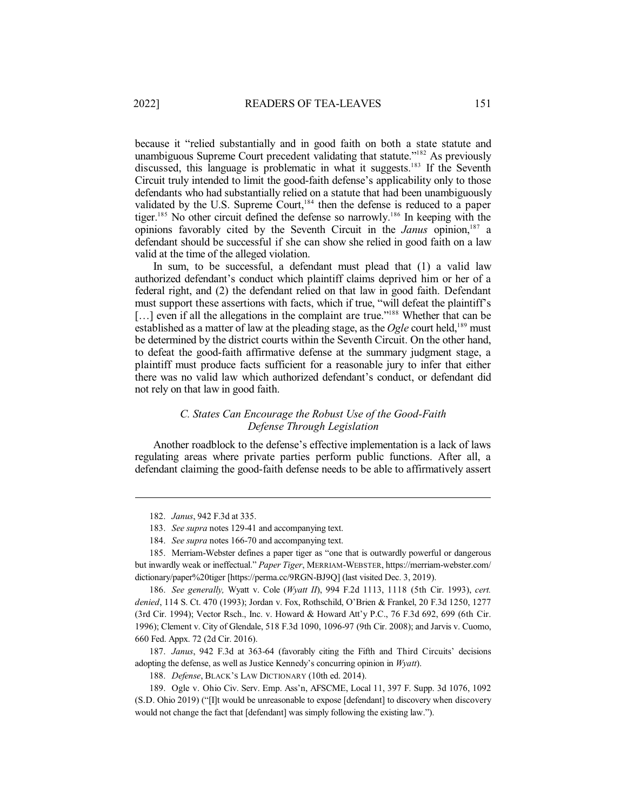because it "relied substantially and in good faith on both a state statute and unambiguous Supreme Court precedent validating that statute."<sup>182</sup> As previously discussed, this language is problematic in what it suggests.<sup>183</sup> If the Seventh Circuit truly intended to limit the good-faith defense's applicability only to those defendants who had substantially relied on a statute that had been unambiguously validated by the U.S. Supreme Court,<sup>184</sup> then the defense is reduced to a paper tiger.<sup>185</sup> No other circuit defined the defense so narrowly.<sup>186</sup> In keeping with the opinions favorably cited by the Seventh Circuit in the *Janus* opinion, 187 a defendant should be successful if she can show she relied in good faith on a law valid at the time of the alleged violation.

In sum, to be successful, a defendant must plead that (1) a valid law authorized defendant's conduct which plaintiff claims deprived him or her of a federal right, and (2) the defendant relied on that law in good faith. Defendant must support these assertions with facts, which if true, "will defeat the plaintiff's [...] even if all the allegations in the complaint are true."<sup>188</sup> Whether that can be established as a matter of law at the pleading stage, as the *Ogle* court held, <sup>189</sup> must be determined by the district courts within the Seventh Circuit. On the other hand, to defeat the good-faith affirmative defense at the summary judgment stage, a plaintiff must produce facts sufficient for a reasonable jury to infer that either there was no valid law which authorized defendant's conduct, or defendant did not rely on that law in good faith.

### *C. States Can Encourage the Robust Use of the Good-Faith Defense Through Legislation*

Another roadblock to the defense's effective implementation is a lack of laws regulating areas where private parties perform public functions. After all, a defendant claiming the good-faith defense needs to be able to affirmatively assert

<sup>182.</sup> *Janus*, 942 F.3d at 335.

<sup>183.</sup> *See supra* notes 129-41 and accompanying text.

<sup>184.</sup> *See supra* notes 166-70 and accompanying text.

<sup>185.</sup> Merriam-Webster defines a paper tiger as "one that is outwardly powerful or dangerous but inwardly weak or ineffectual." *Paper Tiger*, MERRIAM-WEBSTER, https://merriam-webster.com/ dictionary/paper%20tiger [https://perma.cc/9RGN-BJ9Q] (last visited Dec. 3, 2019).

<sup>186.</sup> *See generally,* Wyatt v. Cole (*Wyatt II*), 994 F.2d 1113, 1118 (5th Cir. 1993), *cert. denied*, 114 S. Ct. 470 (1993); Jordan v. Fox, Rothschild, O'Brien & Frankel, 20 F.3d 1250, 1277 (3rd Cir. 1994); Vector Rsch., Inc. v. Howard & Howard Att'y P.C., 76 F.3d 692, 699 (6th Cir. 1996); Clement v. City of Glendale, 518 F.3d 1090, 1096-97 (9th Cir. 2008); and Jarvis v. Cuomo, 660 Fed. Appx. 72 (2d Cir. 2016).

<sup>187.</sup> *Janus*, 942 F.3d at 363-64 (favorably citing the Fifth and Third Circuits' decisions adopting the defense, as well as Justice Kennedy's concurring opinion in *Wyatt*).

<sup>188.</sup> *Defense*, BLACK'S LAW DICTIONARY (10th ed. 2014).

<sup>189.</sup> Ogle v. Ohio Civ. Serv. Emp. Ass'n, AFSCME, Local 11, 397 F. Supp. 3d 1076, 1092 (S.D. Ohio 2019) ("[I]t would be unreasonable to expose [defendant] to discovery when discovery would not change the fact that [defendant] was simply following the existing law.").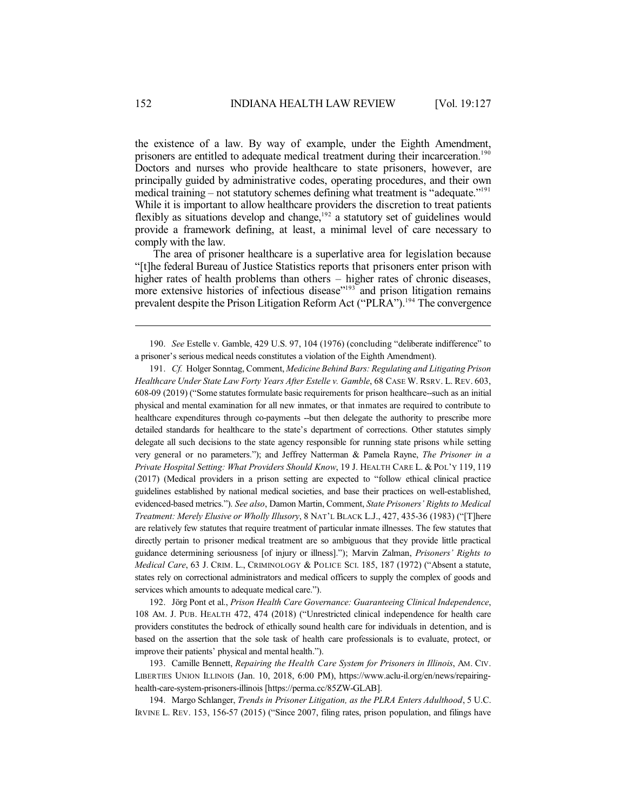the existence of a law. By way of example, under the Eighth Amendment, prisoners are entitled to adequate medical treatment during their incarceration.<sup>190</sup> Doctors and nurses who provide healthcare to state prisoners, however, are principally guided by administrative codes, operating procedures, and their own medical training – not statutory schemes defining what treatment is "adequate."<sup>191</sup> While it is important to allow healthcare providers the discretion to treat patients flexibly as situations develop and change, 192 a statutory set of guidelines would provide a framework defining, at least, a minimal level of care necessary to comply with the law.

The area of prisoner healthcare is a superlative area for legislation because "[t]he federal Bureau of Justice Statistics reports that prisoners enter prison with higher rates of health problems than others – higher rates of chronic diseases, more extensive histories of infectious disease"<sup>193</sup> and prison litigation remains prevalent despite the Prison Litigation Reform Act ("PLRA").<sup>194</sup> The convergence

191. *Cf.* Holger Sonntag, Comment, *Medicine Behind Bars: Regulating and Litigating Prison Healthcare Under State Law Forty Years After Estelle v. Gamble*, 68 CASE W. RSRV. L. REV. 603, 608-09 (2019) ("Some statutesformulate basic requirements for prison healthcare--such as an initial physical and mental examination for all new inmates, or that inmates are required to contribute to healthcare expenditures through co-payments --but then delegate the authority to prescribe more detailed standards for healthcare to the state's department of corrections. Other statutes simply delegate all such decisions to the state agency responsible for running state prisons while setting very general or no parameters."); and Jeffrey Natterman & Pamela Rayne, *The Prisoner in a Private Hospital Setting: What Providers Should Know*, 19 J. HEALTH CARE L. & POL'Y 119, 119 (2017) (Medical providers in a prison setting are expected to "follow ethical clinical practice guidelines established by national medical societies, and base their practices on well-established, evidenced-based metrics."). *See also*, Damon Martin, Comment, *State Prisoners' Rights to Medical Treatment: Merely Elusive or Wholly Illusory*, 8 NAT'L BLACK L.J., 427, 435-36 (1983) ("[T]here are relatively few statutes that require treatment of particular inmate illnesses. The few statutes that directly pertain to prisoner medical treatment are so ambiguous that they provide little practical guidance determining seriousness [of injury or illness]."); Marvin Zalman, *Prisoners' Rights to Medical Care*, 63 J. CRIM. L., CRIMINOLOGY & POLICE SCI. 185, 187 (1972) ("Absent a statute, states rely on correctional administrators and medical officers to supply the complex of goods and services which amounts to adequate medical care.").

192. Jörg Pont et al., *Prison Health Care Governance: Guaranteeing Clinical Independence*, 108 AM. J. PUB. HEALTH 472, 474 (2018) ("Unrestricted clinical independence for health care providers constitutes the bedrock of ethically sound health care for individuals in detention, and is based on the assertion that the sole task of health care professionals is to evaluate, protect, or improve their patients' physical and mental health.").

193. Camille Bennett, *Repairing the Health Care System for Prisoners in Illinois*, AM. CIV. LIBERTIES UNION ILLINOIS (Jan. 10, 2018, 6:00 PM), https://www.aclu-il.org/en/news/repairinghealth-care-system-prisoners-illinois [https://perma.cc/85ZW-GLAB].

194. Margo Schlanger, *Trends in Prisoner Litigation, as the PLRA Enters Adulthood*, 5 U.C. IRVINE L. REV. 153, 156-57 (2015) ("Since 2007, filing rates, prison population, and filings have

<sup>190.</sup> *See* Estelle v. Gamble, 429 U.S. 97, 104 (1976) (concluding "deliberate indifference" to a prisoner's serious medical needs constitutes a violation of the Eighth Amendment).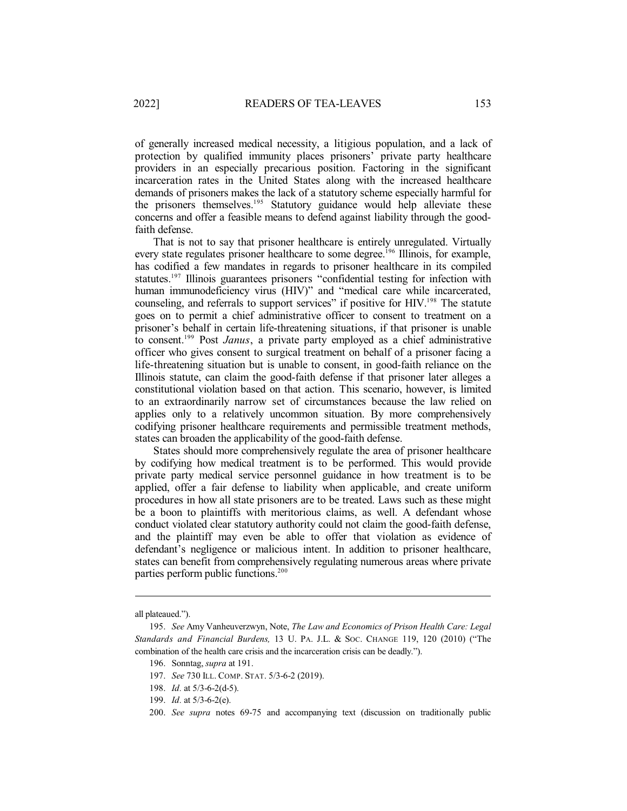of generally increased medical necessity, a litigious population, and a lack of protection by qualified immunity places prisoners' private party healthcare providers in an especially precarious position. Factoring in the significant incarceration rates in the United States along with the increased healthcare demands of prisoners makes the lack of a statutory scheme especially harmful for the prisoners themselves.<sup>195</sup> Statutory guidance would help alleviate these concerns and offer a feasible means to defend against liability through the goodfaith defense.

That is not to say that prisoner healthcare is entirely unregulated. Virtually every state regulates prisoner healthcare to some degree.<sup>196</sup> Illinois, for example, has codified a few mandates in regards to prisoner healthcare in its compiled statutes.<sup>197</sup> Illinois guarantees prisoners "confidential testing for infection with human immunodeficiency virus (HIV)" and "medical care while incarcerated, counseling, and referrals to support services" if positive for HIV.<sup>198</sup> The statute goes on to permit a chief administrative officer to consent to treatment on a prisoner's behalf in certain life-threatening situations, if that prisoner is unable to consent. <sup>199</sup> Post *Janus*, a private party employed as a chief administrative officer who gives consent to surgical treatment on behalf of a prisoner facing a life-threatening situation but is unable to consent, in good-faith reliance on the Illinois statute, can claim the good-faith defense if that prisoner later alleges a constitutional violation based on that action. This scenario, however, is limited to an extraordinarily narrow set of circumstances because the law relied on applies only to a relatively uncommon situation. By more comprehensively codifying prisoner healthcare requirements and permissible treatment methods, states can broaden the applicability of the good-faith defense.

States should more comprehensively regulate the area of prisoner healthcare by codifying how medical treatment is to be performed. This would provide private party medical service personnel guidance in how treatment is to be applied, offer a fair defense to liability when applicable, and create uniform procedures in how all state prisoners are to be treated. Laws such as these might be a boon to plaintiffs with meritorious claims, as well. A defendant whose conduct violated clear statutory authority could not claim the good-faith defense, and the plaintiff may even be able to offer that violation as evidence of defendant's negligence or malicious intent. In addition to prisoner healthcare, states can benefit from comprehensively regulating numerous areas where private parties perform public functions.<sup>200</sup>

all plateaued.").

<sup>195.</sup> *See* Amy Vanheuverzwyn, Note, *The Law and Economics of Prison Health Care: Legal Standards and Financial Burdens,* 13 U. PA. J.L. & SOC. CHANGE 119, 120 (2010) ("The combination of the health care crisis and the incarceration crisis can be deadly.").

<sup>196.</sup> Sonntag, *supra* at 191.

<sup>197.</sup> *See* 730 ILL. COMP. STAT. 5/3-6-2 (2019).

<sup>198.</sup> *Id.* at 5/3-6-2(d-5).

<sup>199.</sup> *Id.* at 5/3-6-2(e).

<sup>200.</sup> *See supra* notes 69-75 and accompanying text (discussion on traditionally public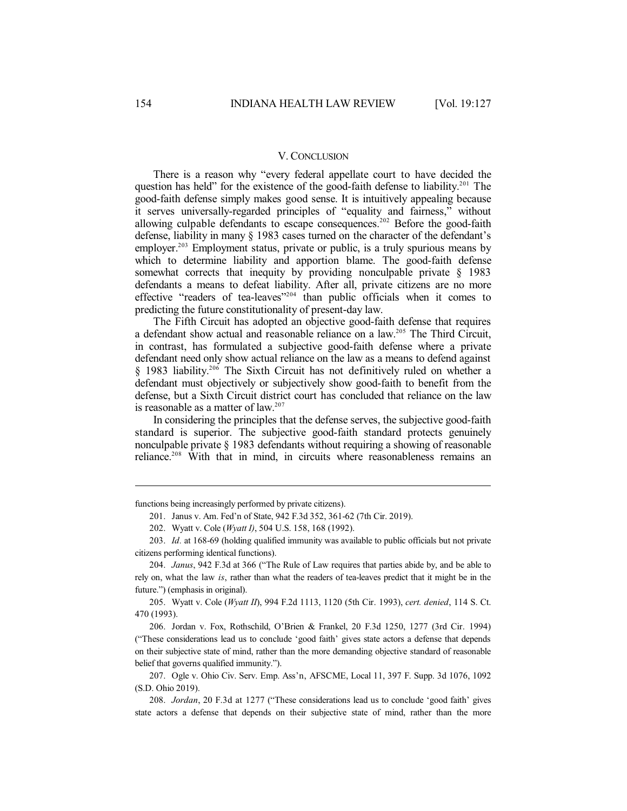#### V. CONCLUSION

There is a reason why "every federal appellate court to have decided the question has held" for the existence of the good-faith defense to liability.<sup>201</sup> The good-faith defense simply makes good sense. It is intuitively appealing because it serves universally-regarded principles of "equality and fairness," without allowing culpable defendants to escape consequences.<sup>202</sup> Before the good-faith defense, liability in many § 1983 cases turned on the character of the defendant's employer.<sup>203</sup> Employment status, private or public, is a truly spurious means by which to determine liability and apportion blame. The good-faith defense somewhat corrects that inequity by providing nonculpable private  $\S$  1983 defendants a means to defeat liability. After all, private citizens are no more effective "readers of tea-leaves"<sup>204</sup> than public officials when it comes to predicting the future constitutionality of present-day law.

The Fifth Circuit has adopted an objective good-faith defense that requires a defendant show actual and reasonable reliance on a law. <sup>205</sup> The Third Circuit, in contrast, has formulated a subjective good-faith defense where a private defendant need only show actual reliance on the law as a means to defend against § 1983 liability.<sup>206</sup> The Sixth Circuit has not definitively ruled on whether a defendant must objectively or subjectively show good-faith to benefit from the defense, but a Sixth Circuit district court has concluded that reliance on the law is reasonable as a matter of law. 207

In considering the principles that the defense serves, the subjective good-faith standard is superior. The subjective good-faith standard protects genuinely nonculpable private § 1983 defendants without requiring a showing of reasonable reliance.<sup>208</sup> With that in mind, in circuits where reasonableness remains an

functions being increasingly performed by private citizens).

201. Janus v. Am. Fed'n of State, 942 F.3d 352, 361-62 (7th Cir. 2019).

202. Wyatt v. Cole (*Wyatt I)*, 504 U.S. 158, 168 (1992).

203. *Id.* at 168-69 (holding qualified immunity was available to public officials but not private citizens performing identical functions).

204. *Janus*, 942 F.3d at 366 ("The Rule of Law requires that parties abide by, and be able to rely on, what the law *is*, rather than what the readers of tea-leaves predict that it might be in the future.") (emphasis in original).

205. Wyatt v. Cole (*Wyatt II*), 994 F.2d 1113, 1120 (5th Cir. 1993), *cert. denied*, 114 S. Ct. 470 (1993).

206. Jordan v. Fox, Rothschild, O'Brien & Frankel, 20 F.3d 1250, 1277 (3rd Cir. 1994) ("These considerations lead us to conclude 'good faith' gives state actors a defense that depends on their subjective state of mind, rather than the more demanding objective standard of reasonable belief that governs qualified immunity.").

207. Ogle v. Ohio Civ. Serv. Emp. Ass'n, AFSCME, Local 11, 397 F. Supp. 3d 1076, 1092 (S.D. Ohio 2019).

208. *Jordan*, 20 F.3d at 1277 ("These considerations lead us to conclude 'good faith' gives state actors a defense that depends on their subjective state of mind, rather than the more